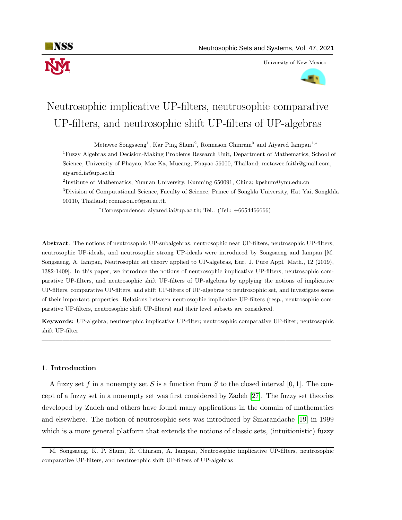

University of New Mexico



# Neutrosophic implicative UP-filters, neutrosophic comparative UP-filters, and neutrosophic shift UP-filters of UP-algebras

Metawee Songsaeng<sup>1</sup>, Kar Ping Shum<sup>2</sup>, Ronnason Chinram<sup>3</sup> and Aiyared Iampan<sup>1,\*</sup>

<sup>1</sup>Fuzzy Algebras and Decision-Making Problems Research Unit, Department of Mathematics, School of Science, University of Phayao, Mae Ka, Mueang, Phayao 56000, Thailand; metawee.faith@gmail.com, aiyared.ia@up.ac.th

<sup>2</sup>Institute of Mathematics, Yunnan University, Kunming 650091, China; kpshum@ynu.edu.cn <sup>3</sup>Division of Computational Science, Faculty of Science, Prince of Songkla University, Hat Yai, Songkhla 90110, Thailand; ronnason.c@psu.ac.th

<sup>∗</sup>Correspondence: aiyared.ia@up.ac.th; Tel.: (Tel.; +6654466666)

Abstract. The notions of neutrosophic UP-subalgebras, neutrosophic near UP-filters, neutrosophic UP-filters, neutrosophic UP-ideals, and neutrosophic strong UP-ideals were introduced by Songsaeng and Iampan [M. Songsaeng, A. Iampan, Neutrosophic set theory applied to UP-algebras, Eur. J. Pure Appl. Math., 12 (2019), 1382-1409]. In this paper, we introduce the notions of neutrosophic implicative UP-filters, neutrosophic comparative UP-filters, and neutrosophic shift UP-filters of UP-algebras by applying the notions of implicative UP-filters, comparative UP-filters, and shift UP-filters of UP-algebras to neutrosophic set, and investigate some of their important properties. Relations between neutrosophic implicative UP-filters (resp., neutrosophic comparative UP-filters, neutrosophic shift UP-filters) and their level subsets are considered.

Keywords: UP-algebra; neutrosophic implicative UP-filter; neutrosophic comparative UP-filter; neutrosophic shift UP-filter

—————————————————————————————————————————–

# 1. Introduction

A fuzzy set f in a nonempty set S is a function from S to the closed interval [0, 1]. The concept of a fuzzy set in a nonempty set was first considered by Zadeh [\[27\]](#page-23-0). The fuzzy set theories developed by Zadeh and others have found many applications in the domain of mathematics and elsewhere. The notion of neutrosophic sets was introduced by Smarandache [\[19\]](#page-23-1) in 1999 which is a more general platform that extends the notions of classic sets, (intuitionistic) fuzzy

M. Songsaeng, K. P. Shum, R. Chinram, A. Iampan, Neutrosophic implicative UP-filters, neutrosophic comparative UP-filters, and neutrosophic shift UP-filters of UP-algebras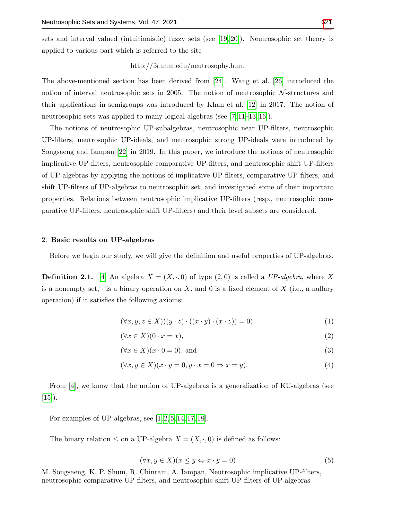sets and interval valued (intuitionistic) fuzzy sets (see [\[19,](#page-23-1) [20\]](#page-23-3)). Neutrosophic set theory is applied to various part which is referred to the site

http://fs.unm.edu/neutrosophy.htm.

The above-mentioned section has been derived from [\[24\]](#page-23-4). Wang et al. [\[26\]](#page-23-5) introduced the notion of interval neutrosophic sets in 2005. The notion of neutrosophic  $N$ -structures and their applications in semigroups was introduced by Khan et al. [\[12\]](#page-23-6) in 2017. The notion of neutrosophic sets was applied to many logical algebras (see [\[7,](#page-22-0) [11–](#page-22-1)[13,](#page-23-7) [16\]](#page-23-8)).

The notions of neutrosophic UP-subalgebras, neutrosophic near UP-filters, neutrosophic UP-filters, neutrosophic UP-ideals, and neutrosophic strong UP-ideals were introduced by Songsaeng and Iampan [\[22\]](#page-23-9) in 2019. In this paper, we introduce the notions of neutrosophic implicative UP-filters, neutrosophic comparative UP-filters, and neutrosophic shift UP-filters of UP-algebras by applying the notions of implicative UP-filters, comparative UP-filters, and shift UP-filters of UP-algebras to neutrosophic set, and investigated some of their important properties. Relations between neutrosophic implicative UP-filters (resp., neutrosophic comparative UP-filters, neutrosophic shift UP-filters) and their level subsets are considered.

#### 2. Basic results on UP-algebras

Before we begin our study, we will give the definition and useful properties of UP-algebras.

**Definition 2.1.** [\[4\]](#page-22-2) An algebra  $X = (X, \cdot, 0)$  of type  $(2, 0)$  is called a UP-algebra, where X is a nonempty set,  $\cdot$  is a binary operation on X, and 0 is a fixed element of X (i.e., a nullary operation) if it satisfies the following axioms:

<span id="page-1-0"></span>
$$
(\forall x, y, z \in X)((y \cdot z) \cdot ((x \cdot y) \cdot (x \cdot z)) = 0), \tag{1}
$$

<span id="page-1-1"></span>
$$
(\forall x \in X)(0 \cdot x = x), \tag{2}
$$

$$
(\forall x \in X)(x \cdot 0 = 0), \text{ and} \tag{3}
$$

$$
(\forall x, y \in X)(x \cdot y = 0, y \cdot x = 0 \Rightarrow x = y).
$$
\n<sup>(4)</sup>

From [\[4\]](#page-22-2), we know that the notion of UP-algebras is a generalization of KU-algebras (see  $[15]$ .

For examples of UP-algebras, see  $[1, 2, 5, 14, 17, 18]$  $[1, 2, 5, 14, 17, 18]$  $[1, 2, 5, 14, 17, 18]$  $[1, 2, 5, 14, 17, 18]$  $[1, 2, 5, 14, 17, 18]$  $[1, 2, 5, 14, 17, 18]$ .

The binary relation  $\leq$  on a UP-algebra  $X = (X, \cdot, 0)$  is defined as follows:

$$
(\forall x, y \in X)(x \le y \Leftrightarrow x \cdot y = 0)
$$
\n<sup>(5)</sup>

M. Songsaeng, K. P. Shum, R. Chinram, A. Iampan, Neutrosophic implicative UP-filters, neutrosophic comparative UP-filters, and neutrosophic shift UP-filters of UP-algebras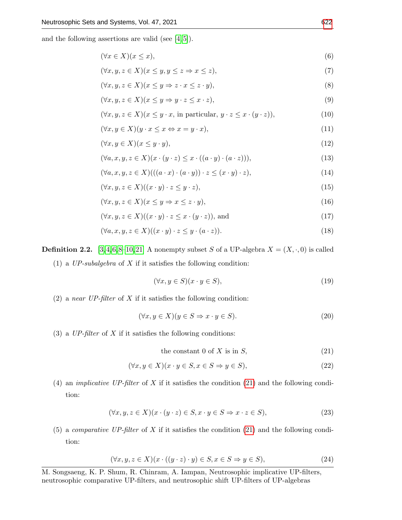and the following assertions are valid (see  $[4,5]$  $[4,5]$ ).

<span id="page-2-1"></span>
$$
(\forall x \in X)(x \le x),\tag{6}
$$

$$
(\forall x, y, z \in X)(x \le y, y \le z \Rightarrow x \le z),
$$
\n<sup>(7)</sup>

$$
(\forall x, y, z \in X)(x \le y \Rightarrow z \cdot x \le z \cdot y),
$$
\n(8)

$$
(\forall x, y, z \in X)(x \le y \Rightarrow y \cdot z \le x \cdot z), \tag{9}
$$

$$
(\forall x, y, z \in X)(x \le y \cdot x, \text{ in particular, } y \cdot z \le x \cdot (y \cdot z)),\tag{10}
$$

$$
(\forall x, y \in X)(y \cdot x \le x \Leftrightarrow x = y \cdot x), \tag{11}
$$

$$
(\forall x, y \in X)(x \le y \cdot y),\tag{12}
$$

$$
(\forall a, x, y, z \in X)(x \cdot (y \cdot z) \le x \cdot ((a \cdot y) \cdot (a \cdot z))),
$$
\n
$$
(13)
$$

$$
(\forall a, x, y, z \in X) (((a \cdot x) \cdot (a \cdot y)) \cdot z \le (x \cdot y) \cdot z), \tag{14}
$$

$$
(\forall x, y, z \in X)((x \cdot y) \cdot z \le y \cdot z), \tag{15}
$$

$$
(\forall x, y, z \in X)(x \le y \Rightarrow x \le z \cdot y),\tag{16}
$$

$$
(\forall x, y, z \in X)((x \cdot y) \cdot z \le x \cdot (y \cdot z)), \text{ and } \tag{17}
$$

$$
(\forall a, x, y, z \in X)((x \cdot y) \cdot z \le y \cdot (a \cdot z)). \tag{18}
$$

**Definition 2.2.** [\[3,](#page-22-6)[4,](#page-22-2)[6,](#page-22-7)[8–](#page-22-8)[10,](#page-22-9)[21\]](#page-23-14) A nonempty subset S of a UP-algebra  $X = (X, \cdot, 0)$  is called (1) a  $UP\text{-}subalgebra$  of X if it satisfies the following condition:

$$
(\forall x, y \in S)(x \cdot y \in S),\tag{19}
$$

(2) a near UP-filter of  $X$  if it satisfies the following condition:

$$
(\forall x, y \in X)(y \in S \Rightarrow x \cdot y \in S).
$$
\n
$$
(20)
$$

(3) a  $UP\text{-}filter$  of X if it satisfies the following conditions:

<span id="page-2-0"></span>the constant 0 of 
$$
X
$$
 is in  $S$ , (21)

$$
(\forall x, y \in X)(x \cdot y \in S, x \in S \Rightarrow y \in S), \tag{22}
$$

(4) an *implicative UP-filter* of X if it satisfies the condition [\(21\)](#page-2-0) and the following condition:

$$
(\forall x, y, z \in X)(x \cdot (y \cdot z) \in S, x \cdot y \in S \Rightarrow x \cdot z \in S),
$$
\n
$$
(23)
$$

(5) a *comparative UP-filter* of X if it satisfies the condition [\(21\)](#page-2-0) and the following condition:

$$
(\forall x, y, z \in X)(x \cdot ((y \cdot z) \cdot y) \in S, x \in S \Rightarrow y \in S), \tag{24}
$$

M. Songsaeng, K. P. Shum, R. Chinram, A. Iampan, Neutrosophic implicative UP-filters, neutrosophic comparative UP-filters, and neutrosophic shift UP-filters of UP-algebras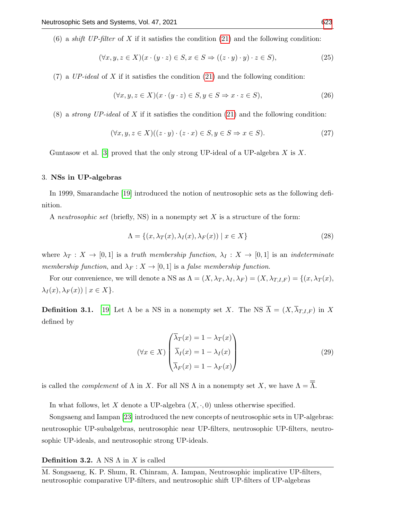(6) a *shift UP-filter* of X if it satisfies the condition [\(21\)](#page-2-0) and the following condition:

$$
(\forall x, y, z \in X)(x \cdot (y \cdot z) \in S, x \in S \Rightarrow ((z \cdot y) \cdot y) \cdot z \in S),
$$
\n
$$
(25)
$$

 $(7)$  a UP-ideal of X if it satisfies the condition  $(21)$  and the following condition:

$$
(\forall x, y, z \in X)(x \cdot (y \cdot z) \in S, y \in S \Rightarrow x \cdot z \in S),
$$
\n
$$
(26)
$$

(8) a *strong UP-ideal* of X if it satisfies the condition [\(21\)](#page-2-0) and the following condition:

$$
(\forall x, y, z \in X)((z \cdot y) \cdot (z \cdot x) \in S, y \in S \Rightarrow x \in S). \tag{27}
$$

Guntasow et al. [\[3\]](#page-22-6) proved that the only strong UP-ideal of a UP-algebra  $X$  is  $X$ .

#### 3. NSs in UP-algebras

In 1999, Smarandache [\[19\]](#page-23-1) introduced the notion of neutrosophic sets as the following definition.

A neutrosophic set (briefly, NS) in a nonempty set  $X$  is a structure of the form:

$$
\Lambda = \{(x, \lambda_T(x), \lambda_I(x), \lambda_F(x)) \mid x \in X\}
$$
\n(28)

where  $\lambda_T : X \to [0,1]$  is a truth membership function,  $\lambda_I : X \to [0,1]$  is an indeterminate membership function, and  $\lambda_F : X \to [0,1]$  is a false membership function.

For our convenience, we will denote a NS as  $\Lambda = (X, \lambda_T, \lambda_I, \lambda_F) = (X, \lambda_{T,I,F}) = \{(x, \lambda_T(x),$  $\lambda_I(x), \lambda_F(x)) \mid x \in X$ .

**Definition 3.1.** [\[19\]](#page-23-1) Let  $\Lambda$  be a NS in a nonempty set X. The NS  $\overline{\Lambda} = (X, \overline{\lambda}_{T,I,F})$  in X defined by

$$
(\forall x \in X) \begin{pmatrix} \overline{\lambda}_T(x) = 1 - \lambda_T(x) \\ \overline{\lambda}_I(x) = 1 - \lambda_I(x) \\ \overline{\lambda}_F(x) = 1 - \lambda_F(x) \end{pmatrix}
$$
 (29)

is called the *complement* of  $\Lambda$  in X. For all NS  $\Lambda$  in a nonempty set X, we have  $\Lambda = \overline{\overline{\Lambda}}$ .

In what follows, let X denote a UP-algebra  $(X, \cdot, 0)$  unless otherwise specified.

Songsaeng and Iampan [\[23\]](#page-23-15) introduced the new concepts of neutrosophic sets in UP-algebras: neutrosophic UP-subalgebras, neutrosophic near UP-filters, neutrosophic UP-filters, neutrosophic UP-ideals, and neutrosophic strong UP-ideals.

## Definition 3.2. A NS  $\Lambda$  in X is called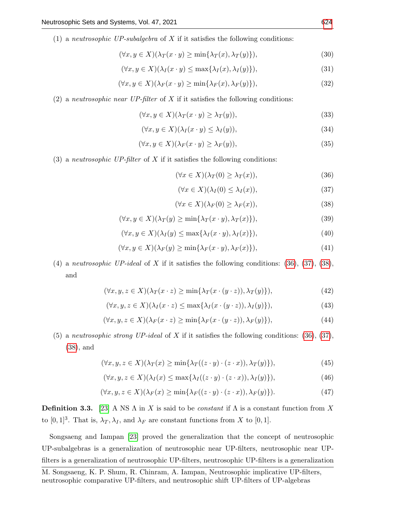(1) a *neutrosophic UP-subalgebra* of X if it satisfies the following conditions:

$$
(\forall x, y \in X)(\lambda_T(x \cdot y) \ge \min\{\lambda_T(x), \lambda_T(y)\}),\tag{30}
$$

$$
(\forall x, y \in X)(\lambda_I(x \cdot y) \le \max\{\lambda_I(x), \lambda_I(y)\}),\tag{31}
$$

$$
(\forall x, y \in X)(\lambda_F(x \cdot y) \ge \min\{\lambda_F(x), \lambda_F(y)\}),\tag{32}
$$

(2) a *neutrosophic near UP-filter* of  $X$  if it satisfies the following conditions:

$$
(\forall x, y \in X)(\lambda_T(x \cdot y) \ge \lambda_T(y)),\tag{33}
$$

$$
(\forall x, y \in X)(\lambda_I(x \cdot y) \le \lambda_I(y)),\tag{34}
$$

$$
(\forall x, y \in X)(\lambda_F(x \cdot y) \ge \lambda_F(y)),\tag{35}
$$

(3) a neutrosophic UP-filter of X if it satisfies the following conditions:

<span id="page-4-5"></span><span id="page-4-4"></span><span id="page-4-3"></span>
$$
(\forall x \in X)(\lambda_T(0) \ge \lambda_T(x)), \tag{36}
$$

<span id="page-4-10"></span><span id="page-4-9"></span><span id="page-4-2"></span><span id="page-4-1"></span><span id="page-4-0"></span>
$$
(\forall x \in X)(\lambda_I(0) \le \lambda_I(x)), \tag{37}
$$

<span id="page-4-11"></span><span id="page-4-8"></span><span id="page-4-7"></span><span id="page-4-6"></span>
$$
(\forall x \in X)(\lambda_F(0) \ge \lambda_F(x)), \tag{38}
$$

$$
(\forall x, y \in X)(\lambda_T(y) \ge \min\{\lambda_T(x \cdot y), \lambda_T(x)\}),\tag{39}
$$

$$
(\forall x, y \in X)(\lambda_I(y) \le \max\{\lambda_I(x \cdot y), \lambda_I(x)\}),\tag{40}
$$

$$
(\forall x, y \in X)(\lambda_F(y) \ge \min\{\lambda_F(x \cdot y), \lambda_F(x)\}),\tag{41}
$$

(4) a neutrosophic UP-ideal of X if it satisfies the following conditions:  $(36)$ ,  $(37)$ ,  $(38)$ , and

$$
(\forall x, y, z \in X)(\lambda_T(x \cdot z) \ge \min\{\lambda_T(x \cdot (y \cdot z)), \lambda_T(y)\}),\tag{42}
$$

$$
(\forall x, y, z \in X)(\lambda_I(x \cdot z) \le \max\{\lambda_I(x \cdot (y \cdot z)), \lambda_I(y)\}),\tag{43}
$$

$$
(\forall x, y, z \in X)(\lambda_F(x \cdot z) \ge \min\{\lambda_F(x \cdot (y \cdot z)), \lambda_F(y)\}),\tag{44}
$$

(5) a neutrosophic strong UP-ideal of X if it satisfies the following conditions: [\(36\)](#page-4-0), [\(37\)](#page-4-1), [\(38\)](#page-4-2), and

$$
(\forall x, y, z \in X)(\lambda_T(x) \ge \min\{\lambda_T((z \cdot y) \cdot (z \cdot x)), \lambda_T(y)\}),\tag{45}
$$

$$
(\forall x, y, z \in X)(\lambda_I(x) \le \max\{\lambda_I((z \cdot y) \cdot (z \cdot x)), \lambda_I(y)\}),\tag{46}
$$

$$
(\forall x, y, z \in X)(\lambda_F(x) \ge \min\{\lambda_F((z \cdot y) \cdot (z \cdot x)), \lambda_F(y)\}).
$$
\n(47)

**Definition 3.3.** [\[23\]](#page-23-15) A NS  $\Lambda$  in X is said to be *constant* if  $\Lambda$  is a constant function from X to  $[0, 1]^3$ . That is,  $\lambda_T, \lambda_I$ , and  $\lambda_F$  are constant functions from X to  $[0, 1]$ .

Songsaeng and Iampan [\[23\]](#page-23-15) proved the generalization that the concept of neutrosophic UP-subalgebras is a generalization of neutrosophic near UP-filters, neutrosophic near UPfilters is a generalization of neutrosophic UP-filters, neutrosophic UP-filters is a generalization

M. Songsaeng, K. P. Shum, R. Chinram, A. Iampan, Neutrosophic implicative UP-filters, neutrosophic comparative UP-filters, and neutrosophic shift UP-filters of UP-algebras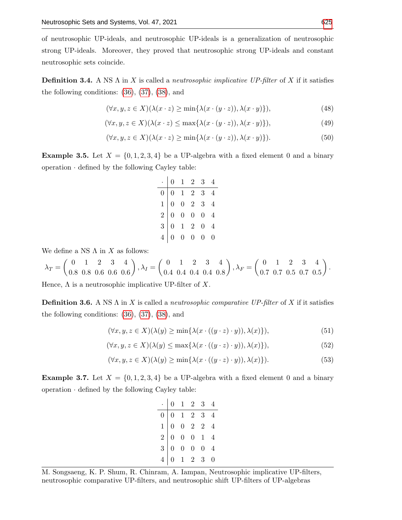of neutrosophic UP-ideals, and neutrosophic UP-ideals is a generalization of neutrosophic strong UP-ideals. Moreover, they proved that neutrosophic strong UP-ideals and constant neutrosophic sets coincide.

**Definition 3.4.** A NS  $\Lambda$  in X is called a *neutrosophic implicative UP-filter* of X if it satisfies the following conditions: [\(36\)](#page-4-0), [\(37\)](#page-4-1), [\(38\)](#page-4-2), and

$$
(\forall x, y, z \in X)(\lambda(x \cdot z) \ge \min\{\lambda(x \cdot (y \cdot z)), \lambda(x \cdot y)\}),\tag{48}
$$

$$
(\forall x, y, z \in X)(\lambda(x \cdot z) \le \max\{\lambda(x \cdot (y \cdot z)), \lambda(x \cdot y)\}),\tag{49}
$$

$$
(\forall x, y, z \in X)(\lambda(x \cdot z) \ge \min\{\lambda(x \cdot (y \cdot z)), \lambda(x \cdot y)\}).
$$
\n(50)

<span id="page-5-4"></span>**Example 3.5.** Let  $X = \{0, 1, 2, 3, 4\}$  be a UP-algebra with a fixed element 0 and a binary operation · defined by the following Cayley table:

<span id="page-5-7"></span><span id="page-5-6"></span><span id="page-5-5"></span>

|  |  | $\begin{array}{c cccc} \cdot&0&1&2&3&4\\ \hline 0&0&1&2&3&4\\ 1&0&0&2&3&4\\ 2&0&0&0&0&4\\ 3&0&1&2&0&4\\ 4&0&0&0&0&0 \end{array}$ |  |
|--|--|----------------------------------------------------------------------------------------------------------------------------------|--|

We define a NS  $\Lambda$  in  $X$  as follows:

$$
\lambda_T = \begin{pmatrix} 0 & 1 & 2 & 3 & 4 \\ 0.8 & 0.8 & 0.6 & 0.6 & 0.6 \end{pmatrix}, \lambda_I = \begin{pmatrix} 0 & 1 & 2 & 3 & 4 \\ 0.4 & 0.4 & 0.4 & 0.4 & 0.8 \end{pmatrix}, \lambda_F = \begin{pmatrix} 0 & 1 & 2 & 3 & 4 \\ 0.7 & 0.7 & 0.5 & 0.7 & 0.5 \end{pmatrix}.
$$

Hence,  $\Lambda$  is a neutrosophic implicative UP-filter of X.

**Definition 3.6.** A NS  $\Lambda$  in X is called a *neutrosophic comparative UP-filter* of X if it satisfies the following conditions: [\(36\)](#page-4-0), [\(37\)](#page-4-1), [\(38\)](#page-4-2), and

$$
(\forall x, y, z \in X)(\lambda(y) \ge \min\{\lambda(x \cdot ((y \cdot z) \cdot y)), \lambda(x)\}),\tag{51}
$$

$$
(\forall x, y, z \in X)(\lambda(y) \le \max\{\lambda(x \cdot ((y \cdot z) \cdot y)), \lambda(x)\}),\tag{52}
$$

$$
(\forall x, y, z \in X)(\lambda(y) \ge \min\{\lambda(x \cdot ((y \cdot z) \cdot y)), \lambda(x)\}).
$$
\n(53)

<span id="page-5-0"></span>**Example 3.7.** Let  $X = \{0, 1, 2, 3, 4\}$  be a UP-algebra with a fixed element 0 and a binary operation · defined by the following Cayley table:

<span id="page-5-3"></span><span id="page-5-2"></span><span id="page-5-1"></span>

|  |  | $\begin{array}{c cccccc} \cdot&0&1&2&3&4\\ \hline 0&0&1&2&3&4\\ 1&0&0&2&2&4\\ 2&0&0&0&1&4\\ 3&0&0&0&0&4\\ 4&0&1&2&3&0\\ \end{array}$ |  |
|--|--|--------------------------------------------------------------------------------------------------------------------------------------|--|
|  |  |                                                                                                                                      |  |
|  |  |                                                                                                                                      |  |
|  |  |                                                                                                                                      |  |
|  |  |                                                                                                                                      |  |
|  |  |                                                                                                                                      |  |

M. Songsaeng, K. P. Shum, R. Chinram, A. Iampan, Neutrosophic implicative UP-filters, neutrosophic comparative UP-filters, and neutrosophic shift UP-filters of UP-algebras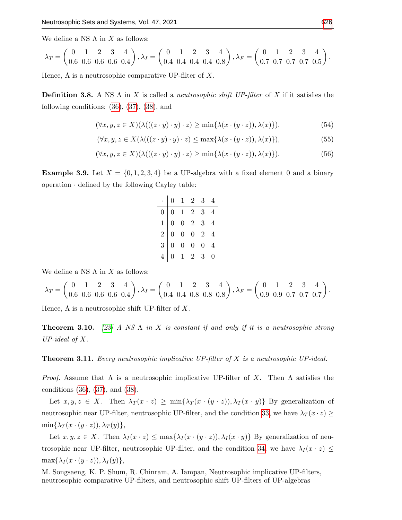We define a NS  $\Lambda$  in  $X$  as follows:

$$
\lambda_T = \begin{pmatrix} 0 & 1 & 2 & 3 & 4 \\ 0.6 & 0.6 & 0.6 & 0.6 & 0.4 \end{pmatrix}, \lambda_I = \begin{pmatrix} 0 & 1 & 2 & 3 & 4 \\ 0.4 & 0.4 & 0.4 & 0.4 & 0.8 \end{pmatrix}, \lambda_F = \begin{pmatrix} 0 & 1 & 2 & 3 & 4 \\ 0.7 & 0.7 & 0.7 & 0.7 & 0.5 \end{pmatrix}.
$$

Hence,  $\Lambda$  is a neutrosophic comparative UP-filter of X.

**Definition 3.8.** A NS  $\Lambda$  in X is called a *neutrosophic shift UP-filter* of X if it satisfies the following conditions:  $(36)$ ,  $(37)$ ,  $(38)$ , and

$$
(\forall x, y, z \in X)(\lambda(((z \cdot y) \cdot y) \cdot z) \ge \min\{\lambda(x \cdot (y \cdot z)), \lambda(x)\}),\tag{54}
$$

$$
(\forall x, y, z \in X(\lambda(((z \cdot y) \cdot y) \cdot z) \le \max\{\lambda(x \cdot (y \cdot z)), \lambda(x)\}),\tag{55}
$$

$$
(\forall x, y, z \in X)(\lambda(((z \cdot y) \cdot y) \cdot z) \ge \min\{\lambda(x \cdot (y \cdot z)), \lambda(x)\}).
$$
\n(56)

<span id="page-6-4"></span>**Example 3.9.** Let  $X = \{0, 1, 2, 3, 4\}$  be a UP-algebra with a fixed element 0 and a binary operation  $\cdot$  defined by the following Cayley table:

<span id="page-6-2"></span><span id="page-6-1"></span><span id="page-6-0"></span>

| $\cdot$ 0 1 2 3 4                                                                                                              |  |  |
|--------------------------------------------------------------------------------------------------------------------------------|--|--|
| $\begin{array}{c cccc} \hline 0&0&1&2&3&4 \ \hline 1&0&0&2&3&4 \ 2&0&0&0&2&4 \ 3&0&0&0&0&4 \ 4&0&1&2&3&0 \ \hline \end{array}$ |  |  |
|                                                                                                                                |  |  |
|                                                                                                                                |  |  |
|                                                                                                                                |  |  |
|                                                                                                                                |  |  |

We define a NS  $\Lambda$  in  $X$  as follows:

$$
\lambda_T = \begin{pmatrix} 0 & 1 & 2 & 3 & 4 \\ 0.6 & 0.6 & 0.6 & 0.6 & 0.4 \end{pmatrix}, \lambda_I = \begin{pmatrix} 0 & 1 & 2 & 3 & 4 \\ 0.4 & 0.4 & 0.8 & 0.8 & 0.8 \end{pmatrix}, \lambda_F = \begin{pmatrix} 0 & 1 & 2 & 3 & 4 \\ 0.9 & 0.9 & 0.7 & 0.7 & 0.7 \end{pmatrix}.
$$

Hence,  $\Lambda$  is a neutrosophic shift UP-filter of X.

<span id="page-6-3"></span>**Theorem 3.10.** [\[23\]](#page-23-15) A NS  $\Lambda$  in X is constant if and only if it is a neutrosophic strong UP-ideal of  $X$ .

<span id="page-6-5"></span>**Theorem 3.11.** Every neutrosophic implicative UP-filter of  $X$  is a neutrosophic UP-ideal.

*Proof.* Assume that  $\Lambda$  is a neutrosophic implicative UP-filter of X. Then  $\Lambda$  satisfies the conditions [\(36\)](#page-4-0), [\(37\)](#page-4-1), and [\(38\)](#page-4-2).

Let  $x, y, z \in X$ . Then  $\lambda_T(x \cdot z) \ge \min\{\lambda_T(x \cdot (y \cdot z)), \lambda_T(x \cdot y)\}\)$  By generalization of neutrosophic near UP-filter, neutrosophic UP-filter, and the condition [33,](#page-4-3) we have  $\lambda_T(x \cdot z) \geq$  $\min\{\lambda_T(x\cdot(y\cdot z)),\lambda_T(y)\},\,$ 

Let  $x, y, z \in X$ . Then  $\lambda_I(x \cdot z) \leq \max\{\lambda_I(x \cdot (y \cdot z)), \lambda_I(x \cdot y)\}\)$  By generalization of neu-trosophic near UP-filter, neutrosophic UP-filter, and the condition [34,](#page-4-4) we have  $\lambda_I(x \cdot z) \leq$  $\max\{\lambda_I(x\cdot (y\cdot z)),\lambda_I(y)\},\,$ 

M. Songsaeng, K. P. Shum, R. Chinram, A. Iampan, Neutrosophic implicative UP-filters, neutrosophic comparative UP-filters, and neutrosophic shift UP-filters of UP-algebras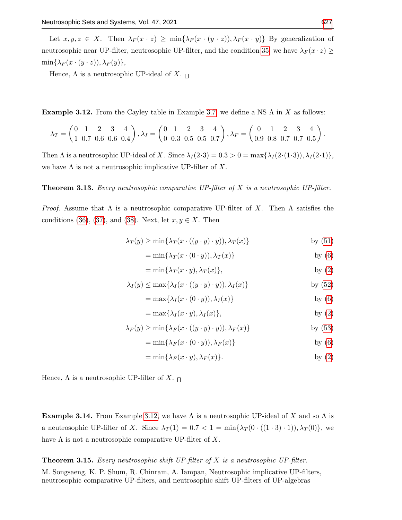Let  $x, y, z \in X$ . Then  $\lambda_F(x \cdot z) \ge \min\{\lambda_F(x \cdot (y \cdot z)), \lambda_F(x \cdot y)\}\)$  By generalization of neutrosophic near UP-filter, neutrosophic UP-filter, and the condition [35,](#page-4-5) we have  $\lambda_F(x \cdot z) \ge$  $\min\{\lambda_F(x\cdot (y\cdot z)),\lambda_F(y)\},\,$ 

Hence,  $\Lambda$  is a neutrosophic UP-ideal of X.  $\Box$ 

<span id="page-7-0"></span>**Example 3.12.** From the Cayley table in Example [3.7,](#page-5-0) we define a NS  $\Lambda$  in X as follows:

$$
\lambda_T = \begin{pmatrix} 0 & 1 & 2 & 3 & 4 \\ 1 & 0.7 & 0.6 & 0.6 & 0.4 \end{pmatrix}, \lambda_I = \begin{pmatrix} 0 & 1 & 2 & 3 & 4 \\ 0 & 0.3 & 0.5 & 0.5 & 0.7 \end{pmatrix}, \lambda_F = \begin{pmatrix} 0 & 1 & 2 & 3 & 4 \\ 0.9 & 0.8 & 0.7 & 0.7 & 0.5 \end{pmatrix}.
$$

Then  $\Lambda$  is a neutrosophic UP-ideal of X. Since  $\lambda_I(2\cdot3) = 0.3 > 0 = \max{\lambda_I(2\cdot(1\cdot3))}, \lambda_I(2\cdot1)$ , we have  $\Lambda$  is not a neutrosophic implicative UP-filter of X.

## <span id="page-7-1"></span>**Theorem 3.13.** Every neutrosophic comparative UP-filter of  $X$  is a neutrosophic UP-filter.

*Proof.* Assume that  $\Lambda$  is a neutrosophic comparative UP-filter of X. Then  $\Lambda$  satisfies the conditions [\(36\)](#page-4-0), [\(37\)](#page-4-1), and [\(38\)](#page-4-2). Next, let  $x, y \in X$ . Then

$$
\lambda_T(y) \ge \min\{\lambda_T(x \cdot ((y \cdot y) \cdot y)), \lambda_T(x)\} \quad \text{by (51)}
$$

$$
= \min\{\lambda_T(x \cdot (0 \cdot y)), \lambda_T(x)\} \qquad \text{by (6)}
$$

$$
= \min\{\lambda_T(x \cdot y), \lambda_T(x)\},\tag{2}
$$

$$
\lambda_I(y) \le \max\{\lambda_I(x \cdot ((y \cdot y) \cdot y)), \lambda_I(x)\} \quad \text{by (52)}
$$

$$
= \max\{\lambda_I(x \cdot (0 \cdot y)), \lambda_I(x)\} \qquad \text{by (6)}
$$

$$
= \max\{\lambda_I(x \cdot y), \lambda_I(x)\},\tag{2}
$$

$$
\lambda_F(y) \ge \min\{\lambda_F(x \cdot ((y \cdot y) \cdot y)), \lambda_F(x)\} \quad \text{by (53)}
$$

$$
= \min\{\lambda_F(x \cdot (0 \cdot y)), \lambda_F(x)\} \qquad \text{by (6)}
$$

$$
= \min\{\lambda_F(x \cdot y), \lambda_F(x)\}.
$$
 by (2)

Hence,  $\Lambda$  is a neutrosophic UP-filter of X.  $\Box$ 

<span id="page-7-3"></span>**Example 3.14.** From Example [3.12,](#page-7-0) we have  $\Lambda$  is a neutrosophic UP-ideal of X and so  $\Lambda$  is a neutrosophic UP-filter of X. Since  $\lambda_T(1) = 0.7 < 1 = \min{\lambda_T(0 \cdot ((1 \cdot 3) \cdot 1)), \lambda_T(0)}$ , we have  $\Lambda$  is not a neutrosophic comparative UP-filter of X.

## <span id="page-7-2"></span>**Theorem 3.15.** Every neutrosophic shift UP-filter of  $X$  is a neutrosophic UP-filter.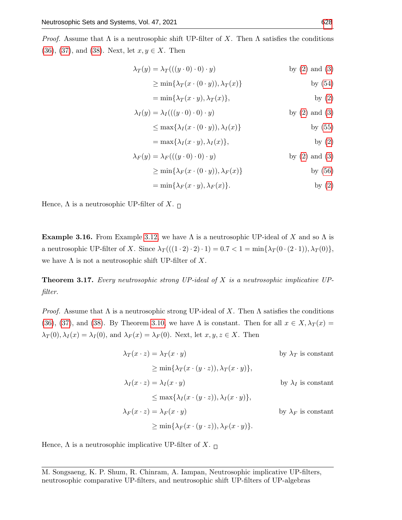*Proof.* Assume that  $\Lambda$  is a neutrosophic shift UP-filter of X. Then  $\Lambda$  satisfies the conditions [\(36\)](#page-4-0), [\(37\)](#page-4-1), and [\(38\)](#page-4-2). Next, let  $x, y \in X$ . Then

$$
\lambda_T(y) = \lambda_T(((y \cdot 0) \cdot 0) \cdot y) \qquad \text{by (2) and (3)}
$$

$$
\geq \min\{\lambda_T(x \cdot (0 \cdot y)), \lambda_T(x)\}\
$$
 by (54)

$$
= \min\{\lambda_T(x \cdot y), \lambda_T(x)\},\tag{2}
$$

$$
\lambda_I(y) = \lambda_I(((y \cdot 0) \cdot 0) \cdot y) \qquad \text{by (2) and (3)}
$$

$$
\leq \max\{\lambda_I(x \cdot (0 \cdot y)), \lambda_I(x)\} \qquad \text{by (55)}
$$

$$
= \max\{\lambda_I(x \cdot y), \lambda_I(x)\},
$$
 by (2)

$$
\lambda_F(y) = \lambda_F(((y \cdot 0) \cdot 0) \cdot y) \qquad \text{by (2) and (3)}
$$

$$
\geq \min\{\lambda_F(x \cdot (0 \cdot y)), \lambda_F(x)\} \qquad \text{by (56)}
$$

$$
= \min\{\lambda_F(x \cdot y), \lambda_F(x)\}.
$$
 by (2)

Hence,  $\Lambda$  is a neutrosophic UP-filter of X.  $\Box$ 

<span id="page-8-1"></span>**Example 3.16.** From Example [3.12,](#page-7-0) we have  $\Lambda$  is a neutrosophic UP-ideal of X and so  $\Lambda$  is a neutrosophic UP-filter of X. Since  $\lambda_T((1 \cdot 2) \cdot 2) \cdot 1) = 0.7 < 1 = \min{\lambda_T(0 \cdot (2 \cdot 1))}, \lambda_T(0)$ , we have  $\Lambda$  is not a neutrosophic shift UP-filter of X.

<span id="page-8-0"></span>**Theorem 3.17.** Every neutrosophic strong UP-ideal of X is a neutrosophic implicative UPfilter.

*Proof.* Assume that  $\Lambda$  is a neutrosophic strong UP-ideal of X. Then  $\Lambda$  satisfies the conditions [\(36\)](#page-4-0), [\(37\)](#page-4-1), and [\(38\)](#page-4-2). By Theorem [3.10,](#page-6-3) we have  $\Lambda$  is constant. Then for all  $x \in X$ ,  $\lambda_T(x) =$  $\lambda_T(0), \lambda_I(x) = \lambda_I(0)$ , and  $\lambda_F(x) = \lambda_F(0)$ . Next, let  $x, y, z \in X$ . Then

> $\lambda_T(x \cdot z) = \lambda_T(x \cdot y)$  by  $\lambda_T$  is constant  $\geq \min\{\lambda_T(x\cdot (y\cdot z)),\lambda_T(x\cdot y)\},\$  $\lambda_I(x \cdot z) = \lambda_I(x \cdot y)$  by  $\lambda_I$  is constant  $\leq$  max $\{\lambda_I(x \cdot (y \cdot z)), \lambda_I(x \cdot y)\},\$  $\lambda_F(x \cdot z) = \lambda_F(x \cdot y)$  by  $\lambda_F$  is constant  $\geq \min\{\lambda_F(x\cdot (y\cdot z)),\lambda_F(x\cdot y)\}.$

Hence,  $\Lambda$  is a neutrosophic implicative UP-filter of X.  $\Box$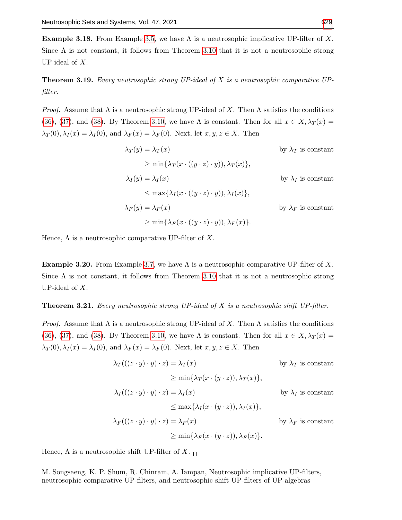<span id="page-9-2"></span>**Example 3.18.** From Example [3.5,](#page-5-4) we have  $\Lambda$  is a neutrosophic implicative UP-filter of X. Since  $\Lambda$  is not constant, it follows from Theorem [3.10](#page-6-3) that it is not a neutrosophic strong UP-ideal of X.

<span id="page-9-0"></span>**Theorem 3.19.** Every neutrosophic strong  $UP$ -ideal of X is a neutrosophic comparative  $UP$ filter.

*Proof.* Assume that  $\Lambda$  is a neutrosophic strong UP-ideal of X. Then  $\Lambda$  satisfies the conditions [\(36\)](#page-4-0), [\(37\)](#page-4-1), and [\(38\)](#page-4-2). By Theorem [3.10,](#page-6-3) we have  $\Lambda$  is constant. Then for all  $x \in X, \lambda_T(x) =$  $\lambda_T(0), \lambda_I(x) = \lambda_I(0)$ , and  $\lambda_F(x) = \lambda_F(0)$ . Next, let  $x, y, z \in X$ . Then

$$
\lambda_T(y) = \lambda_T(x)
$$
 by  $\lambda_T$  is constant  
\n
$$
\ge \min{\lambda_T(x \cdot ((y \cdot z) \cdot y)), \lambda_T(x)},
$$
  
\n
$$
\lambda_I(y) = \lambda_I(x)
$$
 by  $\lambda_I$  is constant  
\n
$$
\le \max{\lambda_I(x \cdot ((y \cdot z) \cdot y)), \lambda_I(x)},
$$
  
\n
$$
\lambda_F(y) = \lambda_F(x)
$$
 by  $\lambda_F$  is constant  
\n
$$
\ge \min{\lambda_F(x \cdot ((y \cdot z) \cdot y)), \lambda_F(x)}.
$$

Hence,  $\Lambda$  is a neutrosophic comparative UP-filter of X.  $\Box$ 

<span id="page-9-3"></span>**Example 3.20.** From Example [3.7,](#page-5-0) we have  $\Lambda$  is a neutrosophic comparative UP-filter of X. Since  $\Lambda$  is not constant, it follows from Theorem [3.10](#page-6-3) that it is not a neutrosophic strong UP-ideal of X.

#### <span id="page-9-1"></span>**Theorem 3.21.** Every neutrosophic strong  $UP$ -ideal of X is a neutrosophic shift  $UP$ -filter.

*Proof.* Assume that  $\Lambda$  is a neutrosophic strong UP-ideal of X. Then  $\Lambda$  satisfies the conditions [\(36\)](#page-4-0), [\(37\)](#page-4-1), and [\(38\)](#page-4-2). By Theorem [3.10,](#page-6-3) we have  $\Lambda$  is constant. Then for all  $x \in X, \lambda_T(x) =$  $\lambda_T(0), \lambda_I(x) = \lambda_I(0)$ , and  $\lambda_F(x) = \lambda_F(0)$ . Next, let  $x, y, z \in X$ . Then

$$
\lambda_T(((z \cdot y) \cdot y) \cdot z) = \lambda_T(x) \qquad \text{by } \lambda_T \text{ is constant}
$$
\n
$$
\ge \min\{\lambda_T(x \cdot (y \cdot z)), \lambda_T(x)\},
$$
\n
$$
\lambda_I(((z \cdot y) \cdot y) \cdot z) = \lambda_I(x) \qquad \text{by } \lambda_I \text{ is constant}
$$
\n
$$
\le \max\{\lambda_I(x \cdot (y \cdot z)), \lambda_I(x)\},
$$
\n
$$
\lambda_F(((z \cdot y) \cdot y) \cdot z) = \lambda_F(x) \qquad \text{by } \lambda_F \text{ is constant}
$$
\n
$$
\ge \min\{\lambda_F(x \cdot (y \cdot z)), \lambda_F(x)\}.
$$

Hence,  $\Lambda$  is a neutrosophic shift UP-filter of X.  $\Box$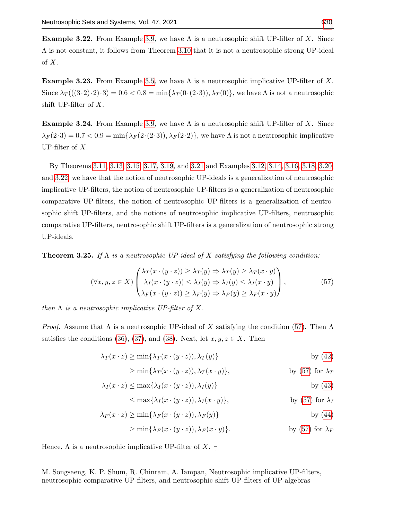<span id="page-10-0"></span>**Example 3.22.** From Example [3.9,](#page-6-4) we have  $\Lambda$  is a neutrosophic shift UP-filter of X. Since  $\Lambda$  is not constant, it follows from Theorem [3.10](#page-6-3) that it is not a neutrosophic strong UP-ideal of X.

**Example 3.23.** From Example [3.5,](#page-5-4) we have  $\Lambda$  is a neutrosophic implicative UP-filter of X. Since  $\lambda_T((3\cdot2)\cdot2)\cdot3=0.6<0.8=\min{\lambda_T(0\cdot(2\cdot3))}, \lambda_T(0)\}$ , we have  $\Lambda$  is not a neutrosophic shift UP-filter of X.

**Example 3.24.** From Example [3.9,](#page-6-4) we have  $\Lambda$  is a neutrosophic shift UP-filter of X. Since  $\lambda_F(2\cdot3) = 0.7 < 0.9 = \min\{\lambda_F(2\cdot(2\cdot3)), \lambda_F(2\cdot2)\}\,$ , we have  $\Lambda$  is not a neutrosophic implicative UP-filter of  $X$ .

By Theorems [3.11,](#page-6-5) [3.13,](#page-7-1) [3.15,](#page-7-2) [3.17,](#page-8-0) [3.19,](#page-9-0) and [3.21](#page-9-1) and Examples [3.12,](#page-7-0) [3.14,](#page-7-3) [3.16,](#page-8-1) [3.18,](#page-9-2) [3.20,](#page-9-3) and [3.22,](#page-10-0) we have that the notion of neutrosophic UP-ideals is a generalization of neutrosophic implicative UP-filters, the notion of neutrosophic UP-filters is a generalization of neutrosophic comparative UP-filters, the notion of neutrosophic UP-filters is a generalization of neutrosophic shift UP-filters, and the notions of neutrosophic implicative UP-filters, neutrosophic comparative UP-filters, neutrosophic shift UP-filters is a generalization of neutrosophic strong UP-ideals.

**Theorem 3.25.** If  $\Lambda$  is a neutrosophic UP-ideal of X satisfying the following condition:

<span id="page-10-1"></span>
$$
(\forall x, y, z \in X) \begin{pmatrix} \lambda_T(x \cdot (y \cdot z)) \ge \lambda_T(y) \Rightarrow \lambda_T(y) \ge \lambda_T(x \cdot y) \\ \lambda_I(x \cdot (y \cdot z)) \le \lambda_I(y) \Rightarrow \lambda_I(y) \le \lambda_I(x \cdot y) \\ \lambda_F(x \cdot (y \cdot z)) \ge \lambda_F(y) \Rightarrow \lambda_F(y) \ge \lambda_F(x \cdot y) \end{pmatrix},
$$
(57)

then  $\Lambda$  is a neutrosophic implicative UP-filter of X.

*Proof.* Assume that  $\Lambda$  is a neutrosophic UP-ideal of X satisfying the condition [\(57\)](#page-10-1). Then  $\Lambda$ satisfies the conditions [\(36\)](#page-4-0), [\(37\)](#page-4-1), and [\(38\)](#page-4-2). Next, let  $x, y, z \in X$ . Then

$$
\lambda_T(x \cdot z) \ge \min\{\lambda_T(x \cdot (y \cdot z)), \lambda_T(y)\}\
$$
by (42)

$$
\geq \min\{\lambda_T(x \cdot (y \cdot z)), \lambda_T(x \cdot y)\},\
$$
 by (57) for  $\lambda_T$ 

$$
\lambda_I(x \cdot z) \le \max\{\lambda_I(x \cdot (y \cdot z)), \lambda_I(y)\} \quad \text{by (43)}
$$

$$
\leq \max\{\lambda_I(x \cdot (y \cdot z)), \lambda_I(x \cdot y)\},\tag{57} \text{ for } \lambda_I
$$

$$
\lambda_F(x \cdot z) \ge \min\{\lambda_F(x \cdot (y \cdot z)), \lambda_F(y)\}\
$$
by (44)

$$
\geq \min\{\lambda_F(x \cdot (y \cdot z)), \lambda_F(x \cdot y)\}.
$$
 by (57) for  $\lambda_F$ 

Hence,  $\Lambda$  is a neutrosophic implicative UP-filter of X.  $\Box$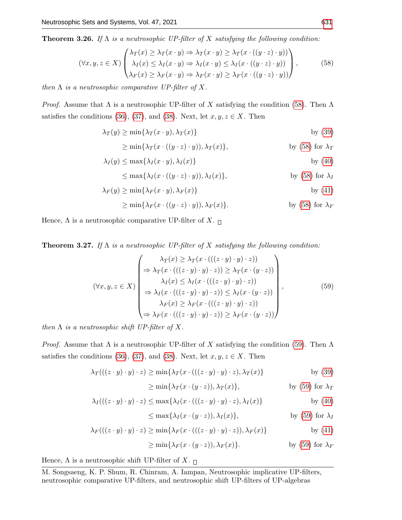**Theorem 3.26.** If  $\Lambda$  is a neutrosophic UP-filter of X satisfying the following condition:

<span id="page-11-0"></span>
$$
(\forall x, y, z \in X) \begin{pmatrix} \lambda_T(x) \ge \lambda_T(x \cdot y) \Rightarrow \lambda_T(x \cdot y) \ge \lambda_T(x \cdot ((y \cdot z) \cdot y)) \\ \lambda_I(x) \le \lambda_I(x \cdot y) \Rightarrow \lambda_I(x \cdot y) \le \lambda_I(x \cdot ((y \cdot z) \cdot y)) \\ \lambda_F(x) \ge \lambda_F(x \cdot y) \Rightarrow \lambda_F(x \cdot y) \ge \lambda_F(x \cdot ((y \cdot z) \cdot y)) \end{pmatrix},
$$
(58)

then  $\Lambda$  is a neutrosophic comparative UP-filter of X.

*Proof.* Assume that  $\Lambda$  is a neutrosophic UP-filter of X satisfying the condition [\(58\)](#page-11-0). Then  $\Lambda$ satisfies the conditions [\(36\)](#page-4-0), [\(37\)](#page-4-1), and [\(38\)](#page-4-2). Next, let  $x, y, z \in X$ . Then

$$
\lambda_T(y) \ge \min\{\lambda_T(x \cdot y), \lambda_T(x)\} \quad \text{by (39)}
$$

$$
\geq \min\{\lambda_T(x \cdot ((y \cdot z) \cdot y)), \lambda_T(x)\},\
$$
 by (58) for  $\lambda_T$ 

$$
\lambda_I(y) \le \max\{\lambda_I(x \cdot y), \lambda_I(x)\} \quad \text{by (40)}
$$

$$
\leq \max\{\lambda_I(x \cdot ((y \cdot z) \cdot y)), \lambda_I(x)\},
$$
 by (58) for  $\lambda_I$ 

$$
\lambda_F(y) \ge \min\{\lambda_F(x \cdot y), \lambda_F(x)\} \qquad \text{by (41)}
$$

$$
\geq \min\{\lambda_F(x \cdot ((y \cdot z) \cdot y)), \lambda_F(x)\}.
$$
 by (58) for  $\lambda_F$ 

Hence,  $\Lambda$  is a neutrosophic comparative UP-filter of  $X.$   $_\Box$ 

**Theorem 3.27.** If  $\Lambda$  is a neutrosophic UP-filter of X satisfying the following condition:

<span id="page-11-1"></span>
$$
(\forall x, y, z \in X) \begin{pmatrix} \lambda_T(x) \ge \lambda_T(x \cdot (((z \cdot y) \cdot y) \cdot z)) \\ \Rightarrow \lambda_T(x \cdot (((z \cdot y) \cdot y) \cdot z)) \ge \lambda_T(x \cdot (y \cdot z)) \\ \lambda_I(x) \le \lambda_I(x \cdot (((z \cdot y) \cdot y) \cdot z)) \\ \Rightarrow \lambda_I(x \cdot (((z \cdot y) \cdot y) \cdot z)) \le \lambda_I(x \cdot (y \cdot z)) \\ \lambda_F(x) \ge \lambda_F(x \cdot (((z \cdot y) \cdot y) \cdot z)) \\ \Rightarrow \lambda_F(x \cdot (((z \cdot y) \cdot y) \cdot z)) \ge \lambda_F(x \cdot (y \cdot z)) \end{pmatrix},
$$
(59)

then  $\Lambda$  is a neutrosophic shift UP-filter of X.

*Proof.* Assume that  $\Lambda$  is a neutrosophic UP-filter of X satisfying the condition [\(59\)](#page-11-1). Then  $\Lambda$ satisfies the conditions [\(36\)](#page-4-0), [\(37\)](#page-4-1), and [\(38\)](#page-4-2). Next, let  $x, y, z \in X$ . Then

$$
\lambda_T(((z \cdot y) \cdot y) \cdot z) \ge \min\{\lambda_T(x \cdot (((z \cdot y) \cdot y) \cdot z), \lambda_T(x)\} \qquad \text{by (39)}
$$

$$
\geq \min\{\lambda_T(x \cdot (y \cdot z)), \lambda_T(x)\},\
$$
 by (59) for  $\lambda_T$ 

$$
\lambda_I(((z \cdot y) \cdot y) \cdot z) \le \max\{\lambda_I(x \cdot (((z \cdot y) \cdot y) \cdot z), \lambda_I(x)\} \quad \text{by (40)}
$$

$$
\leq \max\{\lambda_I(x \cdot (y \cdot z)), \lambda_I(x)\},
$$
 by (59) for  $\lambda_I$ 

$$
\lambda_F(((z \cdot y) \cdot y) \cdot z) \ge \min\{\lambda_F(x \cdot (((z \cdot y) \cdot y) \cdot z)), \lambda_F(x)\} \qquad \text{by (41)}
$$

$$
\geq \min\{\lambda_F(x \cdot (y \cdot z)), \lambda_F(x)\}.
$$
 by (59) for  $\lambda_F$ 

Hence,  $\Lambda$  is a neutrosophic shift UP-filter of X.  $\Box$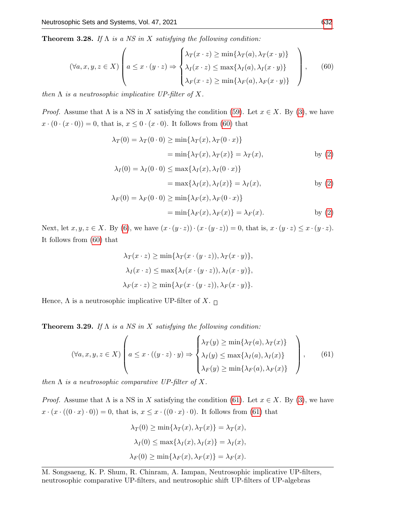**Theorem 3.28.** If  $\Lambda$  is a NS in X satisfying the following condition:

<span id="page-12-0"></span>
$$
(\forall a, x, y, z \in X) \left( a \leq x \cdot (y \cdot z) \Rightarrow \begin{cases} \lambda_T(x \cdot z) \geq \min\{\lambda_T(a), \lambda_T(x \cdot y)\} \\ \lambda_I(x \cdot z) \leq \max\{\lambda_I(a), \lambda_I(x \cdot y)\} \\ \lambda_F(x \cdot z) \geq \min\{\lambda_F(a), \lambda_F(x \cdot y)\} \end{cases} \right), \quad (60)
$$

then  $\Lambda$  is a neutrosophic implicative UP-filter of X.

*Proof.* Assume that  $\Lambda$  is a NS in X satisfying the condition [\(59\)](#page-11-1). Let  $x \in X$ . By [\(3\)](#page-1-1), we have  $x \cdot (0 \cdot (x \cdot 0)) = 0$ , that is,  $x \leq 0 \cdot (x \cdot 0)$ . It follows from [\(60\)](#page-12-0) that

$$
\lambda_T(0) = \lambda_T(0 \cdot 0) \ge \min\{\lambda_T(x), \lambda_T(0 \cdot x)\}
$$
  
=  $\min\{\lambda_T(x), \lambda_T(x)\} = \lambda_T(x)$ , by (2)

$$
\lambda_I(0) = \lambda_I(0 \cdot 0) \le \max\{\lambda_I(x), \lambda_I(0 \cdot x)\}
$$
  
=  $\max\{\lambda_I(x), \lambda_I(x)\} = \lambda_I(x)$ , by (2)

$$
\lambda_F(0) = \lambda_F(0 \cdot 0) \ge \min\{\lambda_F(x), \lambda_F(0 \cdot x)\}
$$
  
=  $\min\{\lambda_F(x), \lambda_F(x)\} = \lambda_F(x)$ . by (2)

Next, let  $x, y, z \in X$ . By [\(6\)](#page-2-1), we have  $(x \cdot (y \cdot z)) \cdot (x \cdot (y \cdot z)) = 0$ , that is,  $x \cdot (y \cdot z) \leq x \cdot (y \cdot z)$ . It follows from [\(60\)](#page-12-0) that

$$
\lambda_T(x \cdot z) \ge \min\{\lambda_T(x \cdot (y \cdot z)), \lambda_T(x \cdot y)\},\
$$

$$
\lambda_I(x \cdot z) \le \max\{\lambda_I(x \cdot (y \cdot z)), \lambda_I(x \cdot y)\},\
$$

$$
\lambda_F(x \cdot z) \ge \min\{\lambda_F(x \cdot (y \cdot z)), \lambda_F(x \cdot y)\}.
$$

Hence,  $\Lambda$  is a neutrosophic implicative UP-filter of  $X.$   $_\Box$ 

**Theorem 3.29.** If  $\Lambda$  is a NS in X satisfying the following condition:

<span id="page-12-1"></span>
$$
(\forall a, x, y, z \in X) \left( a \leq x \cdot ((y \cdot z) \cdot y) \Rightarrow \begin{cases} \lambda_T(y) \geq \min\{\lambda_T(a), \lambda_T(x)\} \\ \lambda_I(y) \leq \max\{\lambda_I(a), \lambda_I(x)\} \\ \lambda_F(y) \geq \min\{\lambda_F(a), \lambda_F(x)\} \end{cases} \right), \quad (61)
$$

then  $\Lambda$  is a neutrosophic comparative UP-filter of X.

*Proof.* Assume that  $\Lambda$  is a NS in X satisfying the condition [\(61\)](#page-12-1). Let  $x \in X$ . By [\(3\)](#page-1-1), we have  $x \cdot (x \cdot ((0 \cdot x) \cdot 0)) = 0$ , that is,  $x \leq x \cdot ((0 \cdot x) \cdot 0)$ . It follows from [\(61\)](#page-12-1) that

$$
\lambda_T(0) \ge \min\{\lambda_T(x), \lambda_T(x)\} = \lambda_T(x),
$$
  

$$
\lambda_I(0) \le \max\{\lambda_I(x), \lambda_I(x)\} = \lambda_I(x),
$$
  

$$
\lambda_F(0) \ge \min\{\lambda_F(x), \lambda_F(x)\} = \lambda_F(x).
$$

M. Songsaeng, K. P. Shum, R. Chinram, A. Iampan, Neutrosophic implicative UP-filters, neutrosophic comparative UP-filters, and neutrosophic shift UP-filters of UP-algebras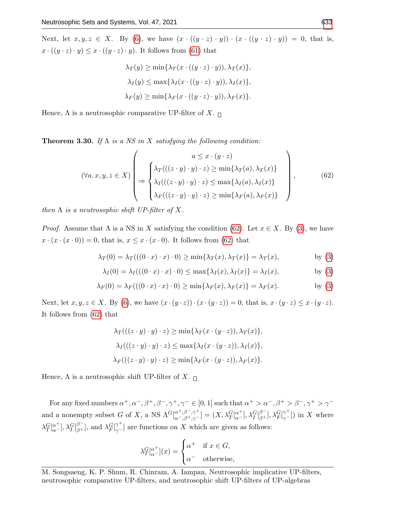Next, let  $x, y, z \in X$ . By [\(6\)](#page-2-1), we have  $(x \cdot ((y \cdot z) \cdot y)) \cdot (x \cdot ((y \cdot z) \cdot y)) = 0$ , that is,  $x \cdot ((y \cdot z) \cdot y) \leq x \cdot ((y \cdot z) \cdot y)$ . It follows from [\(61\)](#page-12-1) that

$$
\lambda_T(y) \ge \min\{\lambda_T(x \cdot ((y \cdot z) \cdot y)), \lambda_T(x)\},\
$$

$$
\lambda_I(y) \le \max\{\lambda_I(x \cdot ((y \cdot z) \cdot y)), \lambda_I(x)\},\
$$

$$
\lambda_F(y) \ge \min\{\lambda_F(x \cdot ((y \cdot z) \cdot y)), \lambda_F(x)\}.
$$

Hence,  $\Lambda$  is a neutrosophic comparative UP-filter of  $X.$   $_\Box$ 

**Theorem 3.30.** If  $\Lambda$  is a NS in X satisfying the following condition:

<span id="page-13-0"></span>
$$
(\forall a, x, y, z \in X) \left( \Rightarrow \begin{cases} \n a \leq x \cdot (y \cdot z) \\ \n \lambda_T(((z \cdot y) \cdot y) \cdot z) \geq \min\{\lambda_T(a), \lambda_T(x)\} \\ \n \lambda_I(((z \cdot y) \cdot y) \cdot z) \leq \max\{\lambda_I(a), \lambda_I(x)\} \\ \n \lambda_F(((z \cdot y) \cdot y) \cdot z) \geq \min\{\lambda_F(a), \lambda_F(x)\} \n \end{cases} \right),
$$
\n(62)

then  $\Lambda$  is a neutrosophic shift UP-filter of X.

*Proof.* Assume that  $\Lambda$  is a NS in X satisfying the condition [\(62\)](#page-13-0). Let  $x \in X$ . By [\(3\)](#page-1-1), we have  $x \cdot (x \cdot (x \cdot 0)) = 0$ , that is,  $x \leq x \cdot (x \cdot 0)$ . It follows from [\(62\)](#page-13-0) that

$$
\lambda_T(0) = \lambda_T(((0 \cdot x) \cdot x) \cdot 0) \ge \min\{\lambda_T(x), \lambda_T(x)\} = \lambda_T(x),
$$
 by (3)

$$
\lambda_I(0) = \lambda_I(((0 \cdot x) \cdot x) \cdot 0) \le \max\{\lambda_I(x), \lambda_I(x)\} = \lambda_I(x), \quad \text{by (3)}
$$

$$
\lambda_F(0) = \lambda_F(((0 \cdot x) \cdot x) \cdot 0) \ge \min\{\lambda_F(x), \lambda_F(x)\} = \lambda_F(x). \quad \text{by (3)}
$$

Next, let  $x, y, z \in X$ . By [\(6\)](#page-2-1), we have  $(x \cdot (y \cdot z)) \cdot (x \cdot (y \cdot z)) = 0$ , that is,  $x \cdot (y \cdot z) \leq x \cdot (y \cdot z)$ . It follows from [\(62\)](#page-13-0) that

$$
\lambda_T(((z \cdot y) \cdot y) \cdot z) \ge \min\{\lambda_T(x \cdot (y \cdot z)), \lambda_T(x)\},\
$$

$$
\lambda_I(((z \cdot y) \cdot y) \cdot z) \le \max\{\lambda_I(x \cdot (y \cdot z)), \lambda_I(x)\},\
$$

$$
\lambda_F(((z \cdot y) \cdot y) \cdot z) \ge \min\{\lambda_F(x \cdot (y \cdot z)), \lambda_F(x)\}.
$$

Hence,  $\Lambda$  is a neutrosophic shift UP-filter of X.  $\Box$ 

For any fixed numbers  $\alpha^+, \alpha^-, \beta^+, \beta^-, \gamma^+, \gamma^- \in [0, 1]$  such that  $\alpha^+ > \alpha^-, \beta^+ > \beta^-, \gamma^+ > \gamma^$ and a nonempty subset G of X, a NS  $\Lambda^G[\alpha^{\dagger}, \beta^{\dagger}, \gamma^{\dagger}](X, \lambda_T^G[\alpha^{\dagger}, \beta^{\dagger}, \gamma^G[\beta^{\dagger}], \lambda_F^G[\beta^{\dagger}](X, \beta^{\dagger})]$  in X where  $\lambda_T^G[\alpha^+], \lambda_I^G[\beta^-],$  and  $\lambda_F^G[\gamma^+]$  are functions on X which are given as follows:

$$
\lambda_T^G[\alpha^+](x) = \begin{cases} \alpha^+ & \text{if } x \in G, \\ \alpha^- & \text{otherwise,} \end{cases}
$$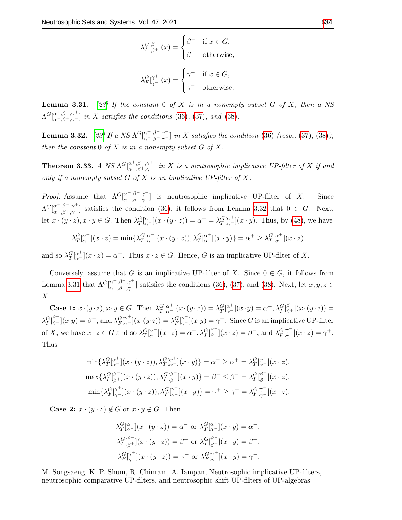$$
\lambda_I^G[\begin{matrix} \beta^- \\ \beta^+ \end{matrix}](x) = \begin{cases} \beta^- & \text{if } x \in G, \\ \beta^+ & \text{otherwise,} \end{cases}
$$

$$
\lambda_F^G[\begin{matrix} \gamma^+ \\ \gamma^- \end{matrix}](x) = \begin{cases} \gamma^+ & \text{if } x \in G, \\ \gamma^- & \text{otherwise.} \end{cases}
$$

<span id="page-14-1"></span>**Lemma 3.31.** [\[23\]](#page-23-15) If the constant 0 of X is in a nonempty subset G of X, then a NS  $\Lambda^G[\alpha^+,\beta^-,\gamma^+]\text{ in }X\text{ satisfies the conditions (36), (37), and (38).}$  $\Lambda^G[\alpha^+,\beta^-,\gamma^+]\text{ in }X\text{ satisfies the conditions (36), (37), and (38).}$  $\Lambda^G[\alpha^+,\beta^-,\gamma^+]\text{ in }X\text{ satisfies the conditions (36), (37), and (38).}$  $\Lambda^G[\alpha^+,\beta^-,\gamma^+]\text{ in }X\text{ satisfies the conditions (36), (37), and (38).}$  $\Lambda^G[\alpha^+,\beta^-,\gamma^+]\text{ in }X\text{ satisfies the conditions (36), (37), and (38).}$  $\Lambda^G[\alpha^+,\beta^-,\gamma^+]\text{ in }X\text{ satisfies the conditions (36), (37), and (38).}$  $\Lambda^G[\alpha^+,\beta^-,\gamma^+]\text{ in }X\text{ satisfies the conditions (36), (37), and (38).}$ 

<span id="page-14-0"></span>**Lemma 3.32.** [\[23\]](#page-23-15) If a NS  $\Lambda^G[\stackrel{\alpha^+,\beta^-, \gamma^+}{_{\alpha^-,\beta^+,\gamma^-}}]$  in X satisfies the condition [\(36\)](#page-4-0) (resp., [\(37\)](#page-4-1), [\(38\)](#page-4-2)), then the constant  $0$  of  $X$  is in a nonempty subset  $G$  of  $X$ .

**Theorem 3.33.** A NS  $\Lambda^G[\alpha^+,\beta^-,\gamma^+]\text{ in } X$  is a neutrosophic implicative UP-filter of X if and only if a nonempty subset  $G$  of  $X$  is an implicative UP-filter of  $X$ .

*Proof.* Assume that  $\Lambda^G[\alpha^+,\beta^-,\gamma^+]$  is neutrosophic implicative UP-filter of X. Since  $\Lambda^G\left[\alpha^+,\beta^-,\gamma^+\right]$  satisfies the condition [\(36\)](#page-4-0), it follows from Lemma [3.32](#page-14-0) that  $0 \in G$ . Next, let  $x \cdot (y \cdot z), x \cdot y \in G$ . Then  $\lambda_T^G \lbrack \alpha^+ \rbrack (x \cdot (y \cdot z)) = \alpha^+ = \lambda_T^G \lbrack \alpha^+ \rbrack (x \cdot y)$ . Thus, by [\(48\)](#page-5-5), we have

$$
\lambda_T^G[\alpha^+](x \cdot z) = \min \{ \lambda_T^G[\alpha^+](x \cdot (y \cdot z)), \lambda_T^G[\alpha^+](x \cdot y) \} = \alpha^+ \ge \lambda_T^G[\alpha^+](x \cdot z)
$$

and so  $\lambda_T^G[\alpha^+](x \cdot z) = \alpha^+$ . Thus  $x \cdot z \in G$ . Hence, G is an implicative UP-filter of X.

Conversely, assume that G is an implicative UP-filter of X. Since  $0 \in G$ , it follows from Lemma [3.31](#page-14-1) that  $\Lambda^G[\stackrel{\alpha^+,\beta^-, \gamma^+}{_{\alpha^-,\beta^+,\gamma^-}}]$  satisfies the conditions [\(36\)](#page-4-0), [\(37\)](#page-4-1), and [\(38\)](#page-4-2). Next, let  $x, y, z \in$ X.

**Case 1:**  $x \cdot (y \cdot z), x \cdot y \in G$ . Then  $\lambda_T^G \begin{bmatrix} \alpha^+ \\ \alpha^- \end{bmatrix} (x \cdot (y \cdot z)) = \lambda_T^G \begin{bmatrix} \alpha^+ \\ \alpha^- \end{bmatrix} (x \cdot y) = \alpha^+, \lambda_I^G \begin{bmatrix} \beta^- \\ \beta^+ \end{bmatrix} (x \cdot (y \cdot z)) =$  $\lambda_I^G\substack{[\beta^-]}{\beta^+}](x\cdot y) = \beta^-$ , and  $\lambda_F^G\substack{[\gamma^+]}{\gamma^-}](x\cdot (y\cdot z)) = \lambda_F^G\substack{[\gamma^+]}{\gamma^-}](x\cdot y) = \gamma^+$ . Since G is an implicative UP-filter of X, we have  $x \cdot z \in G$  and so  $\lambda_T^G \big[ \alpha^+_{\alpha-}](x \cdot z) = \alpha^+$ ,  $\lambda_T^G \big[ \beta^+_{\beta^+}](x \cdot z) = \beta^-$ , and  $\lambda_F^G \big[ \gamma^+_{\gamma^-}](x \cdot z) = \gamma^+$ . Thus

$$
\min\{\lambda^G_T\vert_{\alpha}^{\alpha^+}\vert (x\cdot(y\cdot z)),\lambda^G_T\vert_{\alpha}^{\alpha^+}\vert (x\cdot y)\} = \alpha^+ \geq \alpha^+ = \lambda^G_T\vert_{\alpha^-}^{\alpha^+}\vert (x\cdot z),
$$
  

$$
\max\{\lambda^G_T\vert_{\beta^+}^{\beta^-}\vert (x\cdot(y\cdot z)),\lambda^G_T\vert_{\beta^+}^{\beta^-}\vert (x\cdot y)\} = \beta^- \leq \beta^- = \lambda^G_T\vert_{\beta^+}^{\beta^-}\vert (x\cdot z),
$$
  

$$
\min\{\lambda^G_F\vert_{\gamma^-}^{\gamma^+}\vert (x\cdot(y\cdot z)),\lambda^G_F\vert_{\gamma^-}^{\gamma^+}\vert (x\cdot y)\} = \gamma^+ \geq \gamma^+ = \lambda^G_F\vert_{\gamma^-}^{\gamma^+}\vert (x\cdot z).
$$

**Case 2:**  $x \cdot (y \cdot z) \notin G$  or  $x \cdot y \notin G$ . Then

$$
\lambda_T^G \left[ \alpha^+_{\alpha^-} \right](x \cdot (y \cdot z)) = \alpha^- \text{ or } \lambda_T^G \left[ \alpha^+_{\alpha^-} \right](x \cdot y) = \alpha^-,
$$
  

$$
\lambda_I^G \left[ \beta^+_{\beta^+} \right](x \cdot (y \cdot z)) = \beta^+ \text{ or } \lambda_I^G \left[ \beta^+_{\beta^+} \right](x \cdot y) = \beta^+,
$$
  

$$
\lambda_F^G \left[ \gamma^+_{\gamma^-} \right](x \cdot (y \cdot z)) = \gamma^- \text{ or } \lambda_F^G \left[ \gamma^+_{\gamma^-} \right](x \cdot y) = \gamma^-.
$$

M. Songsaeng, K. P. Shum, R. Chinram, A. Iampan, Neutrosophic implicative UP-filters, neutrosophic comparative UP-filters, and neutrosophic shift UP-filters of UP-algebras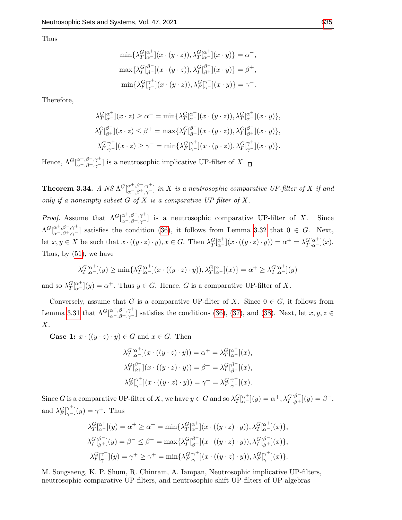Thus

$$
\min\{\lambda^G_T[\alpha^+_{\alpha^-}](x \cdot (y \cdot z)), \lambda^G_T[\alpha^+_{\alpha^-}](x \cdot y)\} = \alpha^-,
$$
  

$$
\max\{\lambda^G_T[\beta^-_{\beta^+}](x \cdot (y \cdot z)), \lambda^G_T[\beta^+_{\beta^+}](x \cdot y)\} = \beta^+,
$$
  

$$
\min\{\lambda^G_F[\gamma^+_{\gamma^-}](x \cdot (y \cdot z)), \lambda^G_F[\gamma^+_{\gamma^-}](x \cdot y)\} = \gamma^-.
$$

Therefore,

$$
\lambda_T^G[\alpha^+_{\alpha^-}](x \cdot z) \ge \alpha^- = \min \{ \lambda_T^G[\alpha^+_{\alpha^-}](x \cdot (y \cdot z)), \lambda_T^G[\alpha^+_{\alpha^-}](x \cdot y) \},
$$
  

$$
\lambda_I^G[\beta^-_{\beta^+}](x \cdot z) \le \beta^+ = \max \{ \lambda_I^G[\beta^-_{\beta^+}](x \cdot (y \cdot z)), \lambda_I^G[\beta^-_{\beta^+}](x \cdot y) \},
$$
  

$$
\lambda_F^G[\gamma^+_{\gamma^-}](x \cdot z) \ge \gamma^- = \min \{ \lambda_F^G[\gamma^+_{\gamma^-}](x \cdot (y \cdot z)), \lambda_F^G[\gamma^+_{\gamma^-}](x \cdot y) \}.
$$

Hence,  $\Lambda^G[\alpha^+,\beta^-,\gamma^+]\omega$  is a neutrosophic implicative UP-filter of X.

**Theorem 3.34.** A NS  $\Lambda^{G}[\alpha^{+, \beta^-, \gamma^+}]$  in X is a neutrosophic comparative UP-filter of X if and only if a nonempty subset  $G$  of  $X$  is a comparative UP-filter of  $X$ .

*Proof.* Assume that  $\Lambda^{G}[\alpha^{+, \beta^{-}, \gamma^{+}}_{\alpha^{-}, \beta^{+}, \gamma^{-}}]$  is a neutrosophic comparative UP-filter of X. Since  $\Lambda^G\!\left[_{\alpha^-,\beta^+,\gamma^-}^{\alpha^+,\beta^-,\gamma^+}\right]$  satisfies the condition [\(36\)](#page-4-0), it follows from Lemma [3.32](#page-14-0) that  $0 \in G$ . Next, let  $x, y \in X$  be such that  $x \cdot ((y \cdot z) \cdot y), x \in G$ . Then  $\lambda_T^{G} [\alpha^+](x \cdot ((y \cdot z) \cdot y)) = \alpha^+ = \lambda_T^{G} [\alpha^+](x)$ . Thus, by [\(51\)](#page-5-1), we have

$$
\lambda_T^G[\alpha^+](y) \ge \min\{\lambda_T^G[\alpha^+](x \cdot ((y \cdot z) \cdot y)), \lambda_T^G[\alpha^+](x)\} = \alpha^+ \ge \lambda_T^G[\alpha^+](y)
$$

and so  $\lambda_T^G[\alpha^+](y) = \alpha^+$ . Thus  $y \in G$ . Hence, G is a comparative UP-filter of X.

Conversely, assume that G is a comparative UP-filter of X. Since  $0 \in G$ , it follows from Lemma [3.31](#page-14-1) that  $\Lambda^G[\stackrel{\alpha^+,\beta^-, \gamma^+}{_{\alpha^-,\beta^+,\gamma^-}}]$  satisfies the conditions [\(36\)](#page-4-0), [\(37\)](#page-4-1), and [\(38\)](#page-4-2). Next, let  $x, y, z \in$ X.

**Case 1:**  $x \cdot ((y \cdot z) \cdot y) \in G$  and  $x \in G$ . Then

$$
\lambda_T^G[\alpha^+_{\alpha^-}](x \cdot ((y \cdot z) \cdot y)) = \alpha^+ = \lambda_T^G[\alpha^+_{\alpha^-}](x),
$$
  

$$
\lambda_I^G[\beta^+_{\beta^+}](x \cdot ((y \cdot z) \cdot y)) = \beta^- = \lambda_I^G[\beta^+_{\beta^+}](x),
$$
  

$$
\lambda_F^G[\gamma^+](x \cdot ((y \cdot z) \cdot y)) = \gamma^+ = \lambda_F^G[\gamma^+_{\gamma^-}](x).
$$

Since G is a comparative UP-filter of X, we have  $y \in G$  and so  $\lambda_T^G [\alpha^-_a](y) = \alpha^+, \lambda_I^G [\beta^-_a](y) = \beta^-,$ and  $\lambda_F^G[\gamma^+](y) = \gamma^+$ . Thus

$$
\lambda^G_T[\alpha^+](y) = \alpha^+ \ge \alpha^+ = \min\{\lambda^G_T[\alpha^+](x \cdot ((y \cdot z) \cdot y)), \lambda^G_T[\alpha^+](x)\},
$$
  

$$
\lambda^G_T[\beta^+](y) = \beta^- \le \beta^- = \max\{\lambda^G_T[\beta^+](x \cdot ((y \cdot z) \cdot y)), \lambda^G_T[\beta^-](x)\},
$$
  

$$
\lambda^G_F[\gamma^+](y) = \gamma^+ \ge \gamma^+ = \min\{\lambda^G_F[\gamma^+](x \cdot ((y \cdot z) \cdot y)), \lambda^G_F[\gamma^+](x)\}.
$$

M. Songsaeng, K. P. Shum, R. Chinram, A. Iampan, Neutrosophic implicative UP-filters, neutrosophic comparative UP-filters, and neutrosophic shift UP-filters of UP-algebras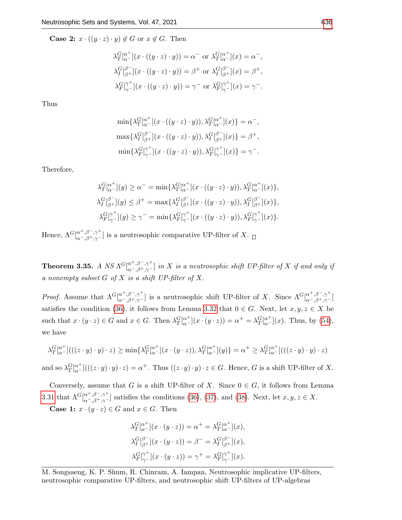**Case 2:**  $x \cdot ((y \cdot z) \cdot y) \notin G$  or  $x \notin G$ . Then

$$
\lambda^G_T[\alpha^+](x \cdot ((y \cdot z) \cdot y)) = \alpha^- \text{ or } \lambda^G_T[\alpha^+](x) = \alpha^-,
$$
  

$$
\lambda^G_T[\beta^-](x \cdot ((y \cdot z) \cdot y)) = \beta^+ \text{ or } \lambda^G_T[\beta^-](x) = \beta^+,
$$
  

$$
\lambda^G_T[\gamma^+](x \cdot ((y \cdot z) \cdot y)) = \gamma^- \text{ or } \lambda^G_T[\gamma^+](x) = \gamma^-.
$$

Thus

$$
\min\{\lambda^G_T\vert_{\alpha^-}^{\alpha^+}\vert (x \cdot ((y \cdot z) \cdot y)), \lambda^G_T\vert_{\alpha^-}^{\alpha^+}\vert (x)\} = \alpha^-,
$$
  

$$
\max\{\lambda^G_T\vert_{\beta^+}^{\beta^-}\vert (x \cdot ((y \cdot z) \cdot y)), \lambda^G_T\vert_{\beta^+}^{\beta^-}\vert (x)\} = \beta^+,
$$
  

$$
\min\{\lambda^G_F\vert_{\gamma^-}^{\gamma^+}\vert (x \cdot ((y \cdot z) \cdot y)), \lambda^G_F\vert_{\gamma^-}^{\gamma^+}\vert (x)\} = \gamma^-.
$$

Therefore,

$$
\lambda^G_T[\alpha^+](y) \ge \alpha^- = \min\{\lambda^G_T[\alpha^+](x \cdot ((y \cdot z) \cdot y)), \lambda^G_T[\alpha^+](x)\},
$$
  

$$
\lambda^G_T[\beta^+](y) \le \beta^+ = \max\{\lambda^G_T[\beta^+](x \cdot ((y \cdot z) \cdot y)), \lambda^G_T[\beta^+](x)\},
$$
  

$$
\lambda^G_F[\gamma^+](y) \ge \gamma^- = \min\{\lambda^G_F[\gamma^+](x \cdot ((y \cdot z) \cdot y)), \lambda^G_F[\gamma^+](x)\}.
$$

Hence,  $\Lambda^G[\alpha^+,\beta^-,\gamma^+]\omega$  is a neutrosophic comparative UP-filter of X.

**Theorem 3.35.** A NS  $\Lambda^{G}[\alpha^{+, \beta^{-}, \gamma^{+}}]$  in X is a neutrosophic shift UP-filter of X if and only if a nonempty subset  $G$  of  $X$  is a shift UP-filter of  $X$ .

*Proof.* Assume that  $\Lambda^G[\alpha^{\dagger}, \beta^{\dagger}, \gamma^{\dagger}]$  is a neutrosophic shift UP-filter of X. Since  $\Lambda^G[\alpha^{\dagger}, \beta^{\dagger}, \gamma^{\dagger}]$ satisfies the condition [\(36\)](#page-4-0), it follows from Lemma [3.32](#page-14-0) that  $0 \in G$ . Next, let  $x, y, z \in X$  be such that  $x \cdot (y \cdot z) \in G$  and  $x \in G$ . Then  $\lambda_T^G \vert_{\alpha=1}^{\alpha^+} (x \cdot (y \cdot z)) = \alpha^+ = \lambda_T^G \vert_{\alpha=1}^{\alpha^+} (x)$ . Thus, by [\(54\)](#page-6-0), we have

$$
\lambda_T^G[\alpha^+]((z \cdot y) \cdot y) \cdot z) \ge \min\{\lambda_T^G[\alpha^+](x \cdot (y \cdot z)), \lambda_T^G[\alpha^+](y)\} = \alpha^+ \ge \lambda_T^G[\alpha^+]((z \cdot y) \cdot y) \cdot z)
$$

and so  $\lambda_T^G[\alpha^+]((z \cdot y) \cdot y) \cdot z) = \alpha^+$ . Thus  $((z \cdot y) \cdot y) \cdot z \in G$ . Hence, G is a shift UP-filter of X.

Conversely, assume that G is a shift UP-filter of X. Since  $0 \in G$ , it follows from Lemma [3.31](#page-14-1) that  $\Lambda^G[\alpha^+,\beta^-,\gamma^+]$  satisfies the conditions (36), (37), and (38). Next, let  $x, y, z \in X$ . $\Lambda^G[\alpha^+,\beta^-,\gamma^+]$  satisfies the conditions (36), (37), and (38). Next, let  $x, y, z \in X$ . $\Lambda^G[\alpha^+,\beta^-,\gamma^+]$  satisfies the conditions (36), (37), and (38). Next, let  $x, y, z \in X$ . $\Lambda^G[\alpha^+,\beta^-,\gamma^+]$  satisfies the conditions (36), (37), and (38). Next, let  $x, y, z \in X$ . $\Lambda^G[\alpha^+,\beta^-,\gamma^+]$  satisfies the conditions (36), (37), and (38). Next, let  $x, y, z \in X$ . $\Lambda^G[\alpha^+,\beta^-,\gamma^+]$  satisfies the conditions (36), (37), and (38). Next, let  $x, y, z \in X$ . $\Lambda^G[\alpha^+,\beta^-,\gamma^+]$  satisfies the conditions (36), (37), and (38). Next, let  $x, y, z \in X$ .**Case 1:**  $x \cdot (y \cdot z) \in G$  and  $x \in G$ . Then

$$
\lambda_T^G \left[ \alpha^+_{\alpha^-} \right](x \cdot (y \cdot z)) = \alpha^+ = \lambda_T^G \left[ \alpha^+_{\alpha^-} \right](x),
$$
  

$$
\lambda_I^G \left[ \beta^-_{\beta^+} \right](x \cdot (y \cdot z)) = \beta^- = \lambda_I^G \left[ \beta^-_{\beta^+} \right](x),
$$
  

$$
\lambda_F^G \left[ \gamma^+_{\gamma^-} \right](x \cdot (y \cdot z)) = \gamma^+ = \lambda_F^G \left[ \gamma^+_{\gamma^-} \right](x).
$$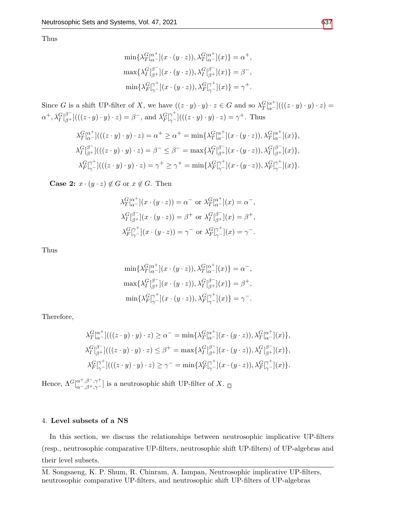Thus

$$
\begin{aligned}\n\min\{\lambda^G_T\vert_{\alpha^-}^{\alpha^+}\vert (x\cdot (y\cdot z)),\lambda^G_T\vert_{\alpha^-}^{\alpha^+}\vert (x)\} &= \alpha^+, \\
\max\{\lambda^G_T\vert_{\beta^+}^{\beta^-}\vert (x\cdot (y\cdot z)),\lambda^G_T\vert_{\beta^+}^{\beta^-}\vert (x)\} &= \beta^-, \\
\min\{\lambda^G_F\vert_{\gamma^-}^{\gamma^+}\vert (x\cdot (y\cdot z)),\lambda^G_F\vert_{\gamma^-}^{\gamma^+}\vert (x)\} &= \gamma^+.\n\end{aligned}
$$

Since G is a shift UP-filter of X, we have  $((z \cdot y) \cdot y) \cdot z \in G$  and so  $\lambda_T^G \vert_{\alpha}^{a^+} \vert (((z \cdot y) \cdot y) \cdot z) =$  $\alpha^+, \lambda_I^G\substack{[ \beta^- ] }{ ( ((z \cdot y) \cdot y) \cdot z) } = \beta^-, \text{ and } \lambda_F^G\substack{[ \gamma^+ ] }{ ( ((z \cdot y) \cdot y) \cdot z) } = \gamma^+. \text{ Thus}$ 

$$
\lambda_T^G[\alpha^+]((z \cdot y) \cdot y) \cdot z) = \alpha^+ \ge \alpha^+ = \min\{\lambda_T^G[\alpha^+](x \cdot (y \cdot z)), \lambda_T^G[\alpha^+](x)\},
$$
  

$$
\lambda_I^G[\beta^-]((z \cdot y) \cdot y) \cdot z) = \beta^- \le \beta^- = \max\{\lambda_I^G[\beta^-] (x \cdot (y \cdot z)), \lambda_I^G[\beta^-] (x)\},
$$
  

$$
\lambda_{F}^G[\gamma^+]((z \cdot y) \cdot y) \cdot z) = \gamma^+ \ge \gamma^+ = \min\{\lambda_{F}^G[\gamma^+] (x \cdot (y \cdot z)), \lambda_{F}^G[\gamma^+] (x)\}.
$$

**Case 2:**  $x \cdot (y \cdot z) \notin G$  or  $x \notin G$ . Then

$$
\lambda^G_T[\alpha^+](x \cdot (y \cdot z)) = \alpha^- \text{ or } \lambda^G_T[\alpha^+](x) = \alpha^-,
$$
  

$$
\lambda^G_T[\beta^+](x \cdot (y \cdot z)) = \beta^+ \text{ or } \lambda^G_T[\beta^-](x) = \beta^+,
$$
  

$$
\lambda^G_T[\gamma^+](x \cdot (y \cdot z)) = \gamma^- \text{ or } \lambda^G_T[\gamma^+](x) = \gamma^-.
$$

Thus

$$
\min \{ \lambda_T^{G} [\alpha^+](x \cdot (y \cdot z)), \lambda_T^{G} [\alpha^+](x) \} = \alpha^-,
$$
  

$$
\max \{ \lambda_I^{G} [\beta^-](x \cdot (y \cdot z)), \lambda_I^{G} [\beta^-](x) \} = \beta^+,
$$
  

$$
\min \{ \lambda_F^{G} [\gamma^+](x \cdot (y \cdot z)), \lambda_F^{G} [\gamma^+](x) \} = \gamma^-.
$$

Therefore,

$$
\lambda^G_T[\alpha^+]((z \cdot y) \cdot y) \cdot z) \ge \alpha^- = \min \{ \lambda^G_T[\alpha^+] (x \cdot (y \cdot z)), \lambda^G_T[\alpha^+] (x) \},
$$
  

$$
\lambda^G_T[\beta^-]((z \cdot y) \cdot y) \cdot z) \le \beta^+ = \max \{ \lambda^G_T[\beta^+] (x \cdot (y \cdot z)), \lambda^G_T[\beta^-] (x) \},
$$
  

$$
\lambda^G_F[\gamma^+]((z \cdot y) \cdot y) \cdot z) \ge \gamma^- = \min \{ \lambda^G_F[\gamma^+] (x \cdot (y \cdot z)), \lambda^G_F[\gamma^+] (x) \}.
$$

Hence,  $\Lambda^G[\alpha^+,\beta^-,\gamma^+]\omega$  is a neutrosophic shift UP-filter of X.

# 4. Level subsets of a NS

In this section, we discuss the relationships between neutrosophic implicative UP-filters (resp., neutrosophic comparative UP-filters, neutrosophic shift UP-filters) of UP-algebras and their level subsets.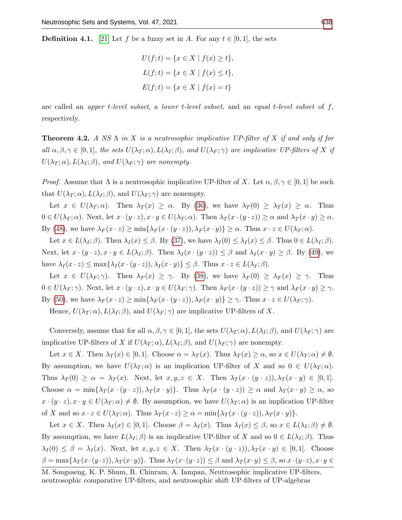**Definition 4.1.** [\[21\]](#page-23-14) Let f be a fuzzy set in A. For any  $t \in [0, 1]$ , the sets

$$
U(f; t) = \{x \in X \mid f(x) \ge t\},\
$$
  

$$
L(f; t) = \{x \in X \mid f(x) \le t\},\
$$
  

$$
E(f; t) = \{x \in X \mid f(x) = t\}
$$

are called an *upper t-level subset*, a *lower t-level subset*, and an *equal t-level subset* of  $f$ , respectively.

<span id="page-18-0"></span>**Theorem 4.2.** A NS  $\Lambda$  in X is a neutrosophic implicative UP-filter of X if and only if for all  $\alpha, \beta, \gamma \in [0,1]$ , the sets  $U(\lambda_T; \alpha), L(\lambda_I; \beta)$ , and  $U(\lambda_F; \gamma)$  are implicative UP-filters of X if  $U(\lambda_T;\alpha)$ ,  $L(\lambda_I;\beta)$ , and  $U(\lambda_F;\gamma)$  are nonempty.

*Proof.* Assume that  $\Lambda$  is a neutrosophic implicative UP-filter of X. Let  $\alpha, \beta, \gamma \in [0,1]$  be such that  $U(\lambda_T; \alpha)$ ,  $L(\lambda_I; \beta)$ , and  $U(\lambda_F; \gamma)$  are nonempty.

Let  $x \in U(\lambda_T; \alpha)$ . Then  $\lambda_T(x) \geq \alpha$ . By [\(36\)](#page-4-0), we have  $\lambda_T(0) \geq \lambda_T(x) \geq \alpha$ . Thus  $0 \in U(\lambda_T; \alpha)$ . Next, let  $x \cdot (y \cdot z), x \cdot y \in U(\lambda_T; \alpha)$ . Then  $\lambda_T(x \cdot (y \cdot z)) \geq \alpha$  and  $\lambda_T(x \cdot y) \geq \alpha$ . By [\(48\)](#page-5-5), we have  $\lambda_F(x \cdot z) \ge \min\{\lambda_F(x \cdot (y \cdot z)), \lambda_F(x \cdot y)\} \ge \alpha$ . Thus  $x \cdot z \in U(\lambda_T; \alpha)$ .

Let  $x \in L(\lambda_I; \beta)$ . Then  $\lambda_I(x) \leq \beta$ . By [\(37\)](#page-4-1), we have  $\lambda_I(0) \leq \lambda_I(x) \leq \beta$ . Thus  $0 \in L(\lambda_I; \beta)$ . Next, let  $x \cdot (y \cdot z), x \cdot y \in L(\lambda_I; \beta)$ . Then  $\lambda_I(x \cdot (y \cdot z)) \leq \beta$  and  $\lambda_I(x \cdot y) \geq \beta$ . By [\(49\)](#page-5-6), we have  $\lambda_I(x \cdot z) \leq \max\{\lambda_I(x \cdot (y \cdot z)), \lambda_I(x \cdot y)\} \leq \beta$ . Thus  $x \cdot z \in L(\lambda_I; \beta)$ .

Let  $x \in U(\lambda_F; \gamma)$ . Then  $\lambda_F(x) \geq \gamma$ . By [\(38\)](#page-4-2), we have  $\lambda_F(0) \geq \lambda_F(x) \geq \gamma$ . Thus  $0 \in U(\lambda_F; \gamma)$ . Next, let  $x \cdot (y \cdot z), x \cdot y \in U(\lambda_F; \gamma)$ . Then  $\lambda_F(x \cdot (y \cdot z)) \geq \gamma$  and  $\lambda_F(x \cdot y) \geq \gamma$ . By [\(50\)](#page-5-7), we have  $\lambda_F(x \cdot z) \ge \min\{\lambda_F(x \cdot (y \cdot z)), \lambda_F(x \cdot y)\} \ge \gamma$ . Thus  $x \cdot z \in U(\lambda_F; \gamma)$ .

Hence,  $U(\lambda_T; \alpha)$ ,  $L(\lambda_I; \beta)$ , and  $U(\lambda_F; \gamma)$  are implicative UP-filters of X.

Conversely, assume that for all  $\alpha, \beta, \gamma \in [0, 1]$ , the sets  $U(\lambda_T; \alpha)$ ,  $L(\lambda_T; \beta)$ , and  $U(\lambda_F; \gamma)$  are implicative UP-filters of X if  $U(\lambda_T; \alpha)$ ,  $L(\lambda_I; \beta)$ , and  $U(\lambda_F; \gamma)$  are nonempty.

Let  $x \in X$ . Then  $\lambda_T(x) \in [0,1]$ . Choose  $\alpha = \lambda_T(x)$ . Thus  $\lambda_T(x) \geq \alpha$ , so  $x \in U(\lambda_T; \alpha) \neq \emptyset$ . By assumption, we have  $U(\lambda_T; \alpha)$  is an implication UP-filter of X and so  $0 \in U(\lambda_T; \alpha)$ . Thus  $\lambda_T(0) \geq \alpha = \lambda_T(x)$ . Next, let  $x, y, z \in X$ . Then  $\lambda_T(x \cdot (y \cdot z))$ ,  $\lambda_T(x \cdot y) \in [0, 1]$ . Choose  $\alpha = \min{\{\lambda_T(x \cdot (y \cdot z)), \lambda_T(x \cdot y)\}}$ . Thus  $\lambda_T(x \cdot (y \cdot z)) \ge \alpha$  and  $\lambda_T(x \cdot y) \ge \alpha$ , so  $x \cdot (y \cdot z), x \cdot y \in U(\lambda_T; \alpha) \neq \emptyset$ . By assumption, we have  $U(\lambda_T; \alpha)$  is an implication UP-filter of X and so  $x \cdot z \in U(\lambda_T; \alpha)$ . Thus  $\lambda_T(x \cdot z) \geq \alpha = \min{\lambda_T(x \cdot (y \cdot z))}, \lambda_T(x \cdot y)$ .

Let  $x \in X$ . Then  $\lambda_I(x) \in [0,1]$ . Choose  $\beta = \lambda_I(x)$ . Thus  $\lambda_I(x) \leq \beta$ , so  $x \in L(\lambda_I;\beta) \neq \emptyset$ . By assumption, we have  $L(\lambda_I; \beta)$  is an implicative UP-filter of X and so  $0 \in L(\lambda_I; \beta)$ . Thus  $\lambda_I(0) \leq \beta = \lambda_I(x)$ . Next, let  $x, y, z \in X$ . Then  $\lambda_T(x \cdot (y \cdot z))$ ,  $\lambda_T(x \cdot y) \in [0, 1]$ . Choose  $\beta = \max{\lambda_T(x \cdot (y \cdot z))}, \lambda_T(x \cdot y)$ . Thus  $\lambda_T(x \cdot (y \cdot z)) \leq \beta$  and  $\lambda_T(x \cdot y) \leq \beta$ , so  $x \cdot (y \cdot z)$ ,  $x \cdot y \in$ 

M. Songsaeng, K. P. Shum, R. Chinram, A. Iampan, Neutrosophic implicative UP-filters, neutrosophic comparative UP-filters, and neutrosophic shift UP-filters of UP-algebras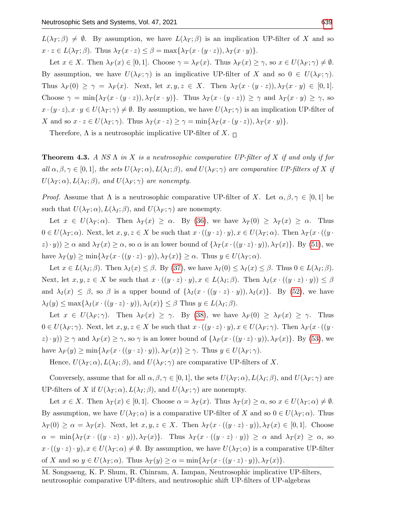$L(\lambda_T;\beta) \neq \emptyset$ . By assumption, we have  $L(\lambda_T;\beta)$  is an implication UP-filter of X and so  $x \cdot z \in L(\lambda_T; \beta)$ . Thus  $\lambda_T(x \cdot z) \leq \beta = \max{\lambda_T(x \cdot (y \cdot z))}, \lambda_T(x \cdot y)$ .

Let  $x \in X$ . Then  $\lambda_F(x) \in [0,1]$ . Choose  $\gamma = \lambda_F(x)$ . Thus  $\lambda_F(x) \geq \gamma$ , so  $x \in U(\lambda_F; \gamma) \neq \emptyset$ . By assumption, we have  $U(\lambda_F; \gamma)$  is an implicative UP-filter of X and so  $0 \in U(\lambda_F; \gamma)$ . Thus  $\lambda_F(0) \geq \gamma = \lambda_F(x)$ . Next, let  $x, y, z \in X$ . Then  $\lambda_T(x \cdot (y \cdot z))$ ,  $\lambda_T(x \cdot y) \in [0, 1]$ . Choose  $\gamma = \min{\{\lambda_T(x \cdot (y \cdot z)), \lambda_T(x \cdot y)\}}$ . Thus  $\lambda_T(x \cdot (y \cdot z)) \geq \gamma$  and  $\lambda_T(x \cdot y) \geq \gamma$ , so  $x \cdot (y \cdot z), x \cdot y \in U(\lambda_T; \gamma) \neq \emptyset$ . By assumption, we have  $U(\lambda_T; \gamma)$  is an implication UP-filter of X and so  $x \cdot z \in U(\lambda_T; \gamma)$ . Thus  $\lambda_T(x \cdot z) \geq \gamma = \min{\{\lambda_T(x \cdot (y \cdot z)), \lambda_T(x \cdot y)\}}$ .

Therefore,  $\Lambda$  is a neutrosophic implicative UP-filter of X.  $\Box$ 

<span id="page-19-0"></span>**Theorem 4.3.** A NS  $\Lambda$  in X is a neutrosophic comparative UP-filter of X if and only if for all  $\alpha, \beta, \gamma \in [0,1]$ , the sets  $U(\lambda_T; \alpha), L(\lambda_I; \beta)$ , and  $U(\lambda_F; \gamma)$  are comparative UP-filters of X if  $U(\lambda_T;\alpha)$ ,  $L(\lambda_I;\beta)$ , and  $U(\lambda_F;\gamma)$  are nonempty.

*Proof.* Assume that  $\Lambda$  is a neutrosophic comparative UP-filter of X. Let  $\alpha, \beta, \gamma \in [0, 1]$  be such that  $U(\lambda_T; \alpha)$ ,  $L(\lambda_I; \beta)$ , and  $U(\lambda_F; \gamma)$  are nonempty.

Let  $x \in U(\lambda_T; \alpha)$ . Then  $\lambda_T(x) \geq \alpha$ . By [\(36\)](#page-4-0), we have  $\lambda_T(0) \geq \lambda_T(x) \geq \alpha$ . Thus  $0 \in U(\lambda_T; \alpha)$ . Next, let  $x, y, z \in X$  be such that  $x \cdot ((y \cdot z) \cdot y), x \in U(\lambda_T; \alpha)$ . Then  $\lambda_T(x \cdot ((y \cdot z) \cdot y))$ .  $(z \cdot y) \geq \alpha$  and  $\lambda_T(x) \geq \alpha$ , so  $\alpha$  is an lower bound of  $\{\lambda_T(x \cdot ((y \cdot z) \cdot y)), \lambda_T(x)\}$ . By [\(51\)](#page-5-1), we have  $\lambda_T(y) \ge \min\{\lambda_T(x \cdot ((y \cdot z) \cdot y)), \lambda_T(x)\} \ge \alpha$ . Thus  $y \in U(\lambda_T; \alpha)$ .

Let  $x \in L(\lambda_I; \beta)$ . Then  $\lambda_I(x) \leq \beta$ . By [\(37\)](#page-4-1), we have  $\lambda_I(0) \leq \lambda_I(x) \leq \beta$ . Thus  $0 \in L(\lambda_I; \beta)$ . Next, let  $x, y, z \in X$  be such that  $x \cdot ((y \cdot z) \cdot y), x \in L(\lambda_I; \beta)$ . Then  $\lambda_I(x \cdot ((y \cdot z) \cdot y)) \leq \beta$ and  $\lambda_I(x) \leq \beta$ , so  $\beta$  is a upper bound of  $\{\lambda_I(x \cdot ((y \cdot z) \cdot y)), \lambda_I(x)\}$ . By [\(52\)](#page-5-2), we have  $\lambda_I(y) \leq \max\{\lambda_I(x \cdot ((y \cdot z) \cdot y)), \lambda_I(x)\} \leq \beta$  Thus  $y \in L(\lambda_I; \beta)$ .

Let  $x \in U(\lambda_F;\gamma)$ . Then  $\lambda_F(x) \geq \gamma$ . By [\(38\)](#page-4-2), we have  $\lambda_F(0) \geq \lambda_F(x) \geq \gamma$ . Thus  $0 \in U(\lambda_F; \gamma)$ . Next, let  $x, y, z \in X$  be such that  $x \cdot ((y \cdot z) \cdot y), x \in U(\lambda_F; \gamma)$ . Then  $\lambda_F(x \cdot ((y \cdot z) \cdot y))$  $|z| \cdot y$ ))  $\geq \gamma$  and  $\lambda_F(x) \geq \gamma$ , so  $\gamma$  is an lower bound of  $\{\lambda_F(x \cdot ((y \cdot z) \cdot y)), \lambda_F(x)\}.$  By [\(53\)](#page-5-3), we have  $\lambda_F(y) \ge \min\{\lambda_F(x \cdot ((y \cdot z) \cdot y)), \lambda_F(x)\} \ge \gamma$ . Thus  $y \in U(\lambda_F; \gamma)$ .

Hence,  $U(\lambda_T; \alpha)$ ,  $L(\lambda_I; \beta)$ , and  $U(\lambda_F; \gamma)$  are comparative UP-filters of X.

Conversely, assume that for all  $\alpha, \beta, \gamma \in [0, 1]$ , the sets  $U(\lambda_T; \alpha)$ ,  $L(\lambda_T; \beta)$ , and  $U(\lambda_F; \gamma)$  are UP-filters of X if  $U(\lambda_T; \alpha)$ ,  $L(\lambda_I; \beta)$ , and  $U(\lambda_F; \gamma)$  are nonempty.

Let  $x \in X$ . Then  $\lambda_T(x) \in [0,1]$ . Choose  $\alpha = \lambda_T(x)$ . Thus  $\lambda_T(x) \geq \alpha$ , so  $x \in U(\lambda_T;\alpha) \neq \emptyset$ . By assumption, we have  $U(\lambda_T; \alpha)$  is a comparative UP-filter of X and so  $0 \in U(\lambda_T; \alpha)$ . Thus  $\lambda_T(0) \geq \alpha = \lambda_T(x)$ . Next, let  $x, y, z \in X$ . Then  $\lambda_T(x \cdot ((y \cdot z) \cdot y)), \lambda_T(x) \in [0,1]$ . Choose  $\alpha = \min\{\lambda_T(x \cdot ((y \cdot z) \cdot y)), \lambda_T(x)\}\$ . Thus  $\lambda_T(x \cdot ((y \cdot z) \cdot y)) \geq \alpha$  and  $\lambda_T(x) \geq \alpha$ , so  $x \cdot ((y \cdot z) \cdot y), x \in U(\lambda_T; \alpha) \neq \emptyset$ . By assumption, we have  $U(\lambda_T; \alpha)$  is a comparative UP-filter of X and so  $y \in U(\lambda_T; \alpha)$ . Thus  $\lambda_T(y) \geq \alpha = \min{\lambda_T(x \cdot ((y \cdot z) \cdot y))}, \lambda_T(x)$ .

M. Songsaeng, K. P. Shum, R. Chinram, A. Iampan, Neutrosophic implicative UP-filters, neutrosophic comparative UP-filters, and neutrosophic shift UP-filters of UP-algebras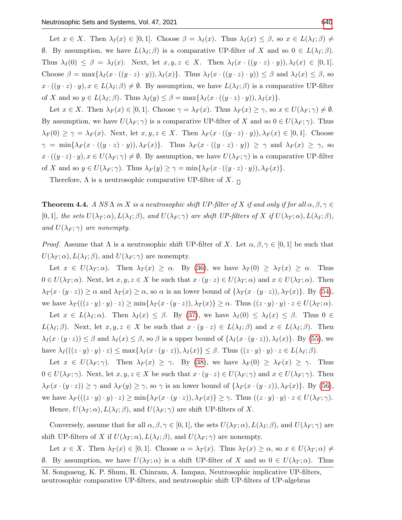Let  $x \in X$ . Then  $\lambda_I(x) \in [0,1]$ . Choose  $\beta = \lambda_I(x)$ . Thus  $\lambda_I(x) \leq \beta$ , so  $x \in L(\lambda_I;\beta) \neq \emptyset$  $\emptyset$ . By assumption, we have  $L(\lambda_I; \beta)$  is a comparative UP-filter of X and so 0 ∈  $L(\lambda_I; \beta)$ . Thus  $\lambda_I(0) \leq \beta = \lambda_I(x)$ . Next, let  $x, y, z \in X$ . Then  $\lambda_I(x \cdot ((y \cdot z) \cdot y)), \lambda_I(x) \in [0, 1]$ . Choose  $\beta = \max\{\lambda_I(x \cdot ((y \cdot z) \cdot y)), \lambda_I(x)\}\)$ . Thus  $\lambda_I(x \cdot ((y \cdot z) \cdot y)) \leq \beta$  and  $\lambda_I(x) \leq \beta$ , so  $x \cdot ((y \cdot z) \cdot y), x \in L(\lambda_I; \beta) \neq \emptyset$ . By assumption, we have  $L(\lambda_I; \beta)$  is a comparative UP-filter of X and so  $y \in L(\lambda_I; \beta)$ . Thus  $\lambda_I(y) \leq \beta = \max\{\lambda_I(x \cdot ((y \cdot z) \cdot y)), \lambda_I(x)\}.$ 

Let  $x \in X$ . Then  $\lambda_F(x) \in [0,1]$ . Choose  $\gamma = \lambda_F(x)$ . Thus  $\lambda_F(x) \geq \gamma$ , so  $x \in U(\lambda_F; \gamma) \neq \emptyset$ . By assumption, we have  $U(\lambda_F; \gamma)$  is a comparative UP-filter of X and so  $0 \in U(\lambda_F; \gamma)$ . Thus  $\lambda_F(0) \geq \gamma = \lambda_F(x)$ . Next, let  $x, y, z \in X$ . Then  $\lambda_F(x \cdot ((y \cdot z) \cdot y)), \lambda_F(x) \in [0, 1]$ . Choose  $\gamma = \min\{\lambda_F(x \cdot ((y \cdot z) \cdot y)), \lambda_F(x)\}.$  Thus  $\lambda_F(x \cdot ((y \cdot z) \cdot y)) \ge \gamma$  and  $\lambda_F(x) \ge \gamma$ , so  $x \cdot ((y \cdot z) \cdot y), x \in U(\lambda_F; \gamma) \neq \emptyset$ . By assumption, we have  $U(\lambda_F; \gamma)$  is a comparative UP-filter of X and so  $y \in U(\lambda_F; \gamma)$ . Thus  $\lambda_F(y) \geq \gamma = \min{\{\lambda_F(x \cdot ((y \cdot z) \cdot y)), \lambda_F(x)\}}$ .

Therefore,  $\Lambda$  is a neutrosophic comparative UP-filter of X.  $\Box$ 

<span id="page-20-0"></span>**Theorem 4.4.** A NS  $\Lambda$  in X is a neutrosophic shift UP-filter of X if and only if for all  $\alpha, \beta, \gamma \in$ [0, 1], the sets  $U(\lambda_T; \alpha)$ ,  $L(\lambda_I; \beta)$ , and  $U(\lambda_F; \gamma)$  are shift UP-filters of X if  $U(\lambda_T; \alpha)$ ,  $L(\lambda_I; \beta)$ , and  $U(\lambda_F; \gamma)$  are nonempty.

*Proof.* Assume that  $\Lambda$  is a neutrosophic shift UP-filter of X. Let  $\alpha, \beta, \gamma \in [0,1]$  be such that  $U(\lambda_T;\alpha)$ ,  $L(\lambda_I;\beta)$ , and  $U(\lambda_F;\gamma)$  are nonempty.

Let  $x \in U(\lambda_T; \alpha)$ . Then  $\lambda_T(x) \geq \alpha$ . By [\(36\)](#page-4-0), we have  $\lambda_T(0) \geq \lambda_T(x) \geq \alpha$ . Thus  $0 \in U(\lambda_T; \alpha)$ . Next, let  $x, y, z \in X$  be such that  $x \cdot (y \cdot z) \in U(\lambda_T; \alpha)$  and  $x \in U(\lambda_T; \alpha)$ . Then  $\lambda_T(x \cdot (y \cdot z)) \geq \alpha$  and  $\lambda_T(x) \geq \alpha$ , so  $\alpha$  is an lower bound of  $\{\lambda_T(x \cdot (y \cdot z)), \lambda_T(x)\}.$  By [\(54\)](#page-6-0), we have  $\lambda_T((z \cdot y) \cdot y) \cdot z) \ge \min\{\lambda_T(x \cdot (y \cdot z)), \lambda_T(x)\} \ge \alpha$ . Thus  $((z \cdot y) \cdot y) \cdot z \in U(\lambda_T; \alpha)$ .

Let  $x \in L(\lambda_I; \alpha)$ . Then  $\lambda_I(x) \leq \beta$ . By [\(37\)](#page-4-1), we have  $\lambda_I(0) \leq \lambda_I(x) \leq \beta$ . Thus  $0 \in$  $L(\lambda_I;\beta)$ . Next, let  $x, y, z \in X$  be such that  $x \cdot (y \cdot z) \in L(\lambda_I;\beta)$  and  $x \in L(\lambda_I;\beta)$ . Then  $\lambda_I(x \cdot (y \cdot z)) \leq \beta$  and  $\lambda_I(x) \leq \beta$ , so  $\beta$  is a upper bound of  $\{\lambda_I(x \cdot (y \cdot z)), \lambda_I(x)\}\)$ . By [\(55\)](#page-6-1), we have  $\lambda_I((z \cdot y) \cdot y) \cdot z) \leq \max\{\lambda_I(x \cdot (y \cdot z)), \lambda_I(x)\} \leq \beta$ . Thus  $((z \cdot y) \cdot y) \cdot z \in L(\lambda_I; \beta)$ .

Let  $x \in U(\lambda_F; \gamma)$ . Then  $\lambda_F(x) \geq \gamma$ . By [\(38\)](#page-4-2), we have  $\lambda_F(0) \geq \lambda_F(x) \geq \gamma$ . Thus  $0 \in U(\lambda_F; \gamma)$ . Next, let  $x, y, z \in X$  be such that  $x \cdot (y \cdot z) \in U(\lambda_F; \gamma)$  and  $x \in U(\lambda_F; \gamma)$ . Then  $\lambda_F(x \cdot (y \cdot z)) \ge \gamma$  and  $\lambda_F(y) \ge \gamma$ , so  $\gamma$  is an lower bound of  $\{\lambda_F(x \cdot (y \cdot z)), \lambda_F(x)\}.$  By [\(56\)](#page-6-2), we have  $\lambda_F(((z \cdot y) \cdot y) \cdot z) \ge \min\{\lambda_F(x \cdot (y \cdot z)), \lambda_F(x)\} \ge \gamma$ . Thus  $((z \cdot y) \cdot y) \cdot z \in U(\lambda_F; \gamma)$ .

Hence,  $U(\lambda_T; \alpha)$ ,  $L(\lambda_I; \beta)$ , and  $U(\lambda_F; \gamma)$  are shift UP-filters of X.

Conversely, assume that for all  $\alpha, \beta, \gamma \in [0, 1]$ , the sets  $U(\lambda_T; \alpha)$ ,  $L(\lambda_T; \beta)$ , and  $U(\lambda_F; \gamma)$  are shift UP-filters of X if  $U(\lambda_T; \alpha)$ ,  $L(\lambda_I; \beta)$ , and  $U(\lambda_F; \gamma)$  are nonempty.

Let  $x \in X$ . Then  $\lambda_T(x) \in [0,1]$ . Choose  $\alpha = \lambda_T(x)$ . Thus  $\lambda_T(x) \geq \alpha$ , so  $x \in U(\lambda_T;\alpha) \neq$  $\emptyset$ . By assumption, we have  $U(\lambda_T; \alpha)$  is a shift UP-filter of X and so 0 ∈  $U(\lambda_T; \alpha)$ . Thus

M. Songsaeng, K. P. Shum, R. Chinram, A. Iampan, Neutrosophic implicative UP-filters, neutrosophic comparative UP-filters, and neutrosophic shift UP-filters of UP-algebras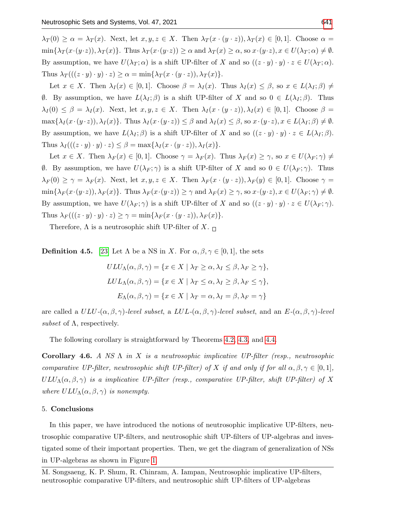$\lambda_T(0) \geq \alpha = \lambda_T(x)$ . Next, let  $x, y, z \in X$ . Then  $\lambda_T(x \cdot (y \cdot z))$ ,  $\lambda_T(x) \in [0, 1]$ . Choose  $\alpha =$  $\min\{\lambda_T(x\cdot(y\cdot z)),\lambda_T(x)\}\.$  Thus  $\lambda_T(x\cdot(y\cdot z))\geq \alpha$  and  $\lambda_T(x)\geq \alpha$ , so  $x\cdot(y\cdot z), x\in U(\lambda_T;\alpha)\neq\emptyset$ . By assumption, we have  $U(\lambda_T; \alpha)$  is a shift UP-filter of X and so  $((z \cdot y) \cdot y) \cdot z \in U(\lambda_T; \alpha)$ . Thus  $\lambda_T((z \cdot y) \cdot y) \cdot z) \geq \alpha = \min\{\lambda_T(x \cdot (y \cdot z)), \lambda_T(x)\}.$ 

Let  $x \in X$ . Then  $\lambda_I(x) \in [0,1]$ . Choose  $\beta = \lambda_I(x)$ . Thus  $\lambda_I(x) \leq \beta$ , so  $x \in L(\lambda_I;\beta) \neq \emptyset$  $θ$ . By assumption, we have  $L(\lambda_I; \beta)$  is a shift UP-filter of X and so  $0 ∈ L(\lambda_I; \beta)$ . Thus  $\lambda_I(0) \leq \beta = \lambda_I(x)$ . Next, let  $x, y, z \in X$ . Then  $\lambda_I(x \cdot (y \cdot z)), \lambda_I(x) \in [0,1]$ . Choose  $\beta =$  $\max\{\lambda_I(x\cdot(y\cdot z)),\lambda_I(x)\}\.$  Thus  $\lambda_I(x\cdot(y\cdot z))\leq \beta$  and  $\lambda_I(x)\leq \beta$ , so  $x\cdot(y\cdot z), x\in L(\lambda_I;\beta)\neq \emptyset$ . By assumption, we have  $L(\lambda_I; \beta)$  is a shift UP-filter of X and so  $((z \cdot y) \cdot y) \cdot z \in L(\lambda_I; \beta)$ . Thus  $\lambda_I (((z \cdot y) \cdot y) \cdot z) \leq \beta = \max{\lambda_I (x \cdot (y \cdot z)), \lambda_I (x)}$ .

Let  $x \in X$ . Then  $\lambda_F(x) \in [0,1]$ . Choose  $\gamma = \lambda_F(x)$ . Thus  $\lambda_F(x) \geq \gamma$ , so  $x \in U(\lambda_F; \gamma) \neq \gamma$  $θ$ . By assumption, we have  $U(\lambda_F; \gamma)$  is a shift UP-filter of X and so 0 ∈  $U(\lambda_F; \gamma)$ . Thus  $\lambda_F(0) \geq \gamma = \lambda_F(x)$ . Next, let  $x, y, z \in X$ . Then  $\lambda_F(x \cdot (y \cdot z))$ ,  $\lambda_F(y) \in [0, 1]$ . Choose  $\gamma =$  $\min\{\lambda_F(x\cdot(y\cdot z)),\lambda_F(x)\}\.$  Thus  $\lambda_F(x\cdot(y\cdot z))\geq \gamma$  and  $\lambda_F(x)\geq \gamma$ , so  $x\cdot(y\cdot z), x\in U(\lambda_F;\gamma)\neq\emptyset$ . By assumption, we have  $U(\lambda_F; \gamma)$  is a shift UP-filter of X and so  $((z \cdot y) \cdot y) \cdot z \in U(\lambda_F; \gamma)$ . Thus  $\lambda_F(((z \cdot y) \cdot y) \cdot z) \geq \gamma = \min\{\lambda_F(x \cdot (y \cdot z)), \lambda_F(x)\}.$ 

Therefore,  $\Lambda$  is a neutrosophic shift UP-filter of X.  $\Box$ 

**Definition 4.5.** [\[23\]](#page-23-15) Let  $\Lambda$  be a NS in X. For  $\alpha, \beta, \gamma \in [0, 1]$ , the sets

$$
ULU_{\Lambda}(\alpha, \beta, \gamma) = \{x \in X \mid \lambda_T \ge \alpha, \lambda_I \le \beta, \lambda_F \ge \gamma\},
$$
  

$$
LUL_{\Lambda}(\alpha, \beta, \gamma) = \{x \in X \mid \lambda_T \le \alpha, \lambda_I \ge \beta, \lambda_F \le \gamma\},
$$
  

$$
E_{\Lambda}(\alpha, \beta, \gamma) = \{x \in X \mid \lambda_T = \alpha, \lambda_I = \beta, \lambda_F = \gamma\}
$$

are called a  $ULU$ - $(\alpha, \beta, \gamma)$ -level subset, a  $LUL$ - $(\alpha, \beta, \gamma)$ -level subset, and an  $E$ - $(\alpha, \beta, \gamma)$ -level subset of  $\Lambda$ , respectively.

The following corollary is straightforward by Theorems [4.2,](#page-18-0) [4.3,](#page-19-0) and [4.4.](#page-20-0)

Corollary 4.6. A NS  $\Lambda$  in X is a neutrosophic implicative UP-filter (resp., neutrosophic comparative UP-filter, neutrosophic shift UP-filter) of X if and only if for all  $\alpha, \beta, \gamma \in [0,1]$ ,  $ULU_\Lambda(\alpha,\beta,\gamma)$  is a implicative UP-filter (resp., comparative UP-filter, shift UP-filter) of X where  $ULU_\Lambda(\alpha, \beta, \gamma)$  is nonempty.

#### 5. Conclusions

In this paper, we have introduced the notions of neutrosophic implicative UP-filters, neutrosophic comparative UP-filters, and neutrosophic shift UP-filters of UP-algebras and investigated some of their important properties. Then, we get the diagram of generalization of NSs in UP-algebras as shown in Figure [1.](#page-22-10)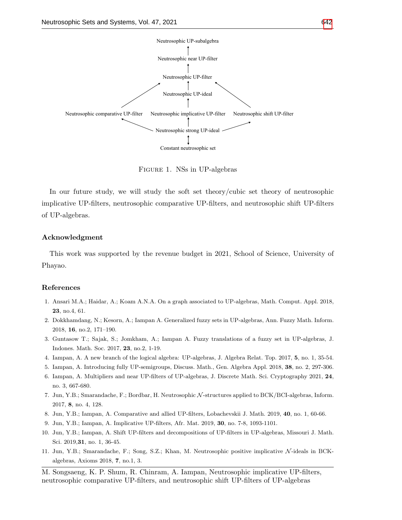<span id="page-22-10"></span>

Figure 1. NSs in UP-algebras

In our future study, we will study the soft set theory/cubic set theory of neutrosophic implicative UP-filters, neutrosophic comparative UP-filters, and neutrosophic shift UP-filters of UP-algebras.

# Acknowledgment

This work was supported by the revenue budget in 2021, School of Science, University of Phayao.

#### References

- <span id="page-22-3"></span>1. Ansari M.A.; Haidar, A.; Koam A.N.A. On a graph associated to UP-algebras, Math. Comput. Appl. 2018, 23, no.4, 61.
- <span id="page-22-4"></span>2. Dokkhamdang, N.; Kesorn, A.; Iampan A. Generalized fuzzy sets in UP-algebras, Ann. Fuzzy Math. Inform. 2018, 16, no.2, 171–190.
- <span id="page-22-6"></span>3. Guntasow T.; Sajak, S.; Jomkham, A.; Iampan A. Fuzzy translations of a fuzzy set in UP-algebras, J. Indones. Math. Soc. 2017, 23, no.2, 1-19.
- <span id="page-22-2"></span>4. Iampan, A. A new branch of the logical algebra: UP-algebras, J. Algebra Relat. Top. 2017, 5, no. 1, 35-54.
- <span id="page-22-5"></span>5. Iampan, A. Introducing fully UP-semigroups, Discuss. Math., Gen. Algebra Appl. 2018, 38, no. 2, 297-306.
- <span id="page-22-7"></span>6. Iampan, A. Multipliers and near UP-filters of UP-algebras, J. Discrete Math. Sci. Cryptography 2021, 24, no. 3, 667-680.
- <span id="page-22-0"></span>7. Jun, Y.B.; Smarandache, F.; Bordbar, H. Neutrosophic N -structures applied to BCK/BCI-algebras, Inform. 2017, 8, no. 4, 128.
- <span id="page-22-8"></span>8. Jun, Y.B.; Iampan, A. Comparative and allied UP-filters, Lobachevskii J. Math. 2019, 40, no. 1, 60-66.
- 9. Jun, Y.B.; Iampan, A. Implicative UP-filters, Afr. Mat. 2019, 30, no. 7-8, 1093-1101.
- <span id="page-22-9"></span>10. Jun, Y.B.; Iampan, A. Shift UP-filters and decompositions of UP-filters in UP-algebras, Missouri J. Math. Sci. 2019,31, no. 1, 36-45.
- <span id="page-22-1"></span>11. Jun, Y.B.; Smarandache, F.; Song, S.Z.; Khan, M. Neutrosophic positive implicative N -ideals in BCKalgebras, Axioms 2018, 7, no.1, 3.